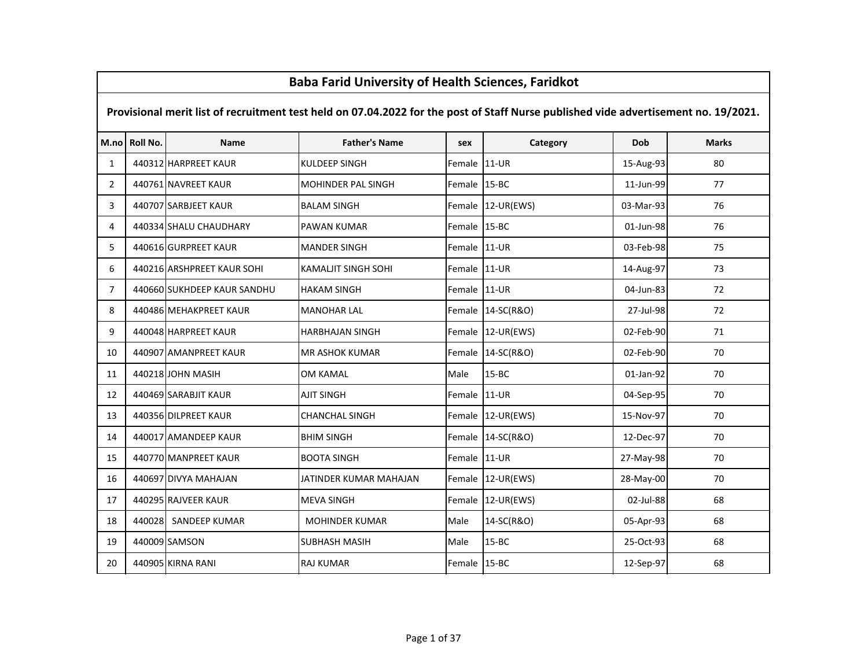|                | Baba Farid University of Health Sciences, Faridkot                                                                                  |                             |                        |              |                   |           |              |  |  |  |  |
|----------------|-------------------------------------------------------------------------------------------------------------------------------------|-----------------------------|------------------------|--------------|-------------------|-----------|--------------|--|--|--|--|
|                | Provisional merit list of recruitment test held on 07.04.2022 for the post of Staff Nurse published vide advertisement no. 19/2021. |                             |                        |              |                   |           |              |  |  |  |  |
|                | M.no Roll No.                                                                                                                       | Name                        | <b>Father's Name</b>   | sex          | Category          | Dob       | <b>Marks</b> |  |  |  |  |
| $\mathbf{1}$   |                                                                                                                                     | 440312 HARPREET KAUR        | KULDEEP SINGH          | Female       | $11-UR$           | 15-Aug-93 | 80           |  |  |  |  |
| $\overline{2}$ |                                                                                                                                     | 440761 NAVREET KAUR         | MOHINDER PAL SINGH     | Female 15-BC |                   | 11-Jun-99 | 77           |  |  |  |  |
| 3              |                                                                                                                                     | 440707 SARBJEET KAUR        | <b>BALAM SINGH</b>     |              | Female 12-UR(EWS) | 03-Mar-93 | 76           |  |  |  |  |
| 4              |                                                                                                                                     | 440334 SHALU CHAUDHARY      | PAWAN KUMAR            | Female 15-BC |                   | 01-Jun-98 | 76           |  |  |  |  |
| 5              |                                                                                                                                     | 440616 GURPREET KAUR        | MANDER SINGH           | Female 11-UR |                   | 03-Feb-98 | 75           |  |  |  |  |
| 6              |                                                                                                                                     | 440216 ARSHPREET KAUR SOHI  | KAMALJIT SINGH SOHI    | Female       | 11-UR             | 14-Aug-97 | 73           |  |  |  |  |
| $\overline{7}$ |                                                                                                                                     | 440660 SUKHDEEP KAUR SANDHU | <b>HAKAM SINGH</b>     | Female 11-UR |                   | 04-Jun-83 | 72           |  |  |  |  |
| 8              |                                                                                                                                     | 440486 MEHAKPREET KAUR      | <b>MANOHAR LAL</b>     |              | Female 14-SC(R&O) | 27-Jul-98 | 72           |  |  |  |  |
| 9              |                                                                                                                                     | 440048 HARPREET KAUR        | <b>HARBHAJAN SINGH</b> |              | Female 12-UR(EWS) | 02-Feb-90 | 71           |  |  |  |  |
| 10             |                                                                                                                                     | 440907 AMANPREET KAUR       | MR ASHOK KUMAR         | Female       | 14-SC(R&O)        | 02-Feb-90 | 70           |  |  |  |  |
| 11             |                                                                                                                                     | 440218 JOHN MASIH           | OM KAMAL               | Male         | $15 - BC$         | 01-Jan-92 | 70           |  |  |  |  |
| 12             |                                                                                                                                     | 440469 SARABJIT KAUR        | <b>AJIT SINGH</b>      | Female       | 11-UR             | 04-Sep-95 | 70           |  |  |  |  |
| 13             |                                                                                                                                     | 440356 DILPREET KAUR        | <b>CHANCHAL SINGH</b>  |              | Female 12-UR(EWS) | 15-Nov-97 | 70           |  |  |  |  |
| 14             |                                                                                                                                     | 440017 AMANDEEP KAUR        | <b>BHIM SINGH</b>      |              | Female 14-SC(R&O) | 12-Dec-97 | 70           |  |  |  |  |
| 15             |                                                                                                                                     | 440770 MANPREET KAUR        | <b>BOOTA SINGH</b>     | Female 11-UR |                   | 27-May-98 | 70           |  |  |  |  |
| 16             |                                                                                                                                     | 440697 DIVYA MAHAJAN        | JATINDER KUMAR MAHAJAN | Female       | $12$ -UR(EWS)     | 28-May-00 | 70           |  |  |  |  |
| 17             |                                                                                                                                     | 440295 RAJVEER KAUR         | <b>MEVA SINGH</b>      | Female       | 12-UR(EWS)        | 02-Jul-88 | 68           |  |  |  |  |
| 18             |                                                                                                                                     | 440028 SANDEEP KUMAR        | MOHINDER KUMAR         | Male         | 14-SC(R&O)        | 05-Apr-93 | 68           |  |  |  |  |
| 19             |                                                                                                                                     | 440009 SAMSON               | SUBHASH MASIH          | Male         | $15 - BC$         | 25-Oct-93 | 68           |  |  |  |  |
| 20             |                                                                                                                                     | 440905 KIRNA RANI           | RAJ KUMAR              | Female 15-BC |                   | 12-Sep-97 | 68           |  |  |  |  |

 $\Gamma$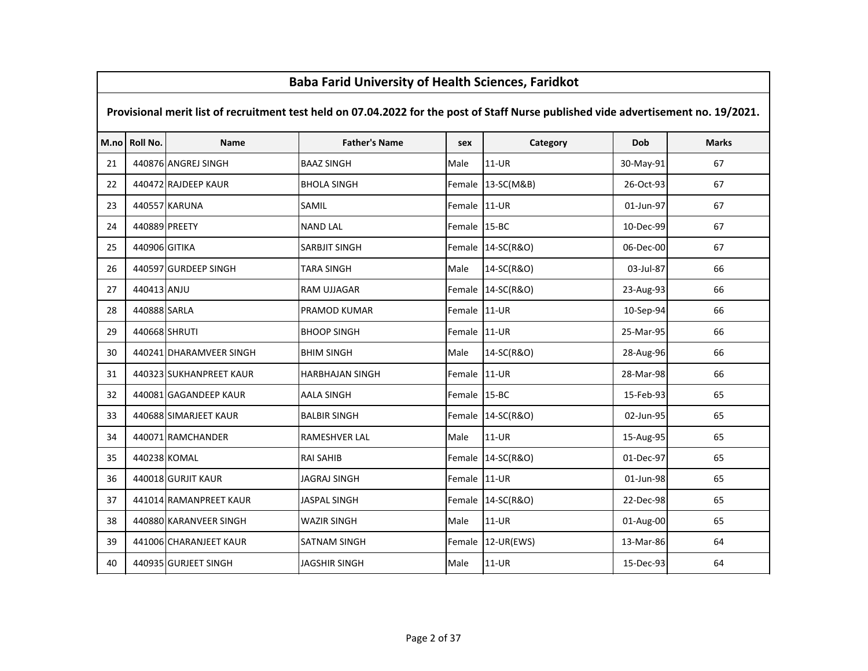|    | Dava Fariu Olliversity of Health Sciences, Fariukot                                                                                 |                         |                      |              |                   |           |              |  |  |  |  |
|----|-------------------------------------------------------------------------------------------------------------------------------------|-------------------------|----------------------|--------------|-------------------|-----------|--------------|--|--|--|--|
|    | Provisional merit list of recruitment test held on 07.04.2022 for the post of Staff Nurse published vide advertisement no. 19/2021. |                         |                      |              |                   |           |              |  |  |  |  |
|    | M.no Roll No.                                                                                                                       | <b>Name</b>             | <b>Father's Name</b> | sex          | Category          | Dob       | <b>Marks</b> |  |  |  |  |
| 21 |                                                                                                                                     | 440876 ANGREJ SINGH     | <b>BAAZ SINGH</b>    | Male         | 11-UR             | 30-May-91 | 67           |  |  |  |  |
| 22 |                                                                                                                                     | 440472 RAJDEEP KAUR     | <b>BHOLA SINGH</b>   | Female       | 13-SC(M&B)        | 26-Oct-93 | 67           |  |  |  |  |
| 23 |                                                                                                                                     | 440557 KARUNA           | SAMIL                | Female       | $11-UR$           | 01-Jun-97 | 67           |  |  |  |  |
| 24 |                                                                                                                                     | 440889 PREETY           | <b>NAND LAL</b>      | Female       | 15-BC             | 10-Dec-99 | 67           |  |  |  |  |
| 25 | 440906 GITIKA                                                                                                                       |                         | <b>SARBJIT SINGH</b> | Female       | 14-SC(R&O)        | 06-Dec-00 | 67           |  |  |  |  |
| 26 |                                                                                                                                     | 440597 GURDEEP SINGH    | <b>TARA SINGH</b>    | Male         | 14-SC(R&O)        | 03-Jul-87 | 66           |  |  |  |  |
| 27 | 440413 ANJU                                                                                                                         |                         | RAM UJJAGAR          | Female       | 14-SC(R&O)        | 23-Aug-93 | 66           |  |  |  |  |
| 28 | 440888 SARLA                                                                                                                        |                         | PRAMOD KUMAR         | Female       | $11-UR$           | 10-Sep-94 | 66           |  |  |  |  |
| 29 | 440668 SHRUTI                                                                                                                       |                         | <b>BHOOP SINGH</b>   | Female       | $11-UR$           | 25-Mar-95 | 66           |  |  |  |  |
| 30 |                                                                                                                                     | 440241 DHARAMVEER SINGH | <b>BHIM SINGH</b>    | Male         | 14-SC(R&O)        | 28-Aug-96 | 66           |  |  |  |  |
| 31 |                                                                                                                                     | 440323 SUKHANPREET KAUR | HARBHAJAN SINGH      | Female       | 11-UR             | 28-Mar-98 | 66           |  |  |  |  |
| 32 |                                                                                                                                     | 440081 GAGANDEEP KAUR   | <b>AALA SINGH</b>    | Female 15-BC |                   | 15-Feb-93 | 65           |  |  |  |  |
| 33 |                                                                                                                                     | 440688 SIMARJEET KAUR   | <b>BALBIR SINGH</b>  | Female       | 14-SC(R&O)        | 02-Jun-95 | 65           |  |  |  |  |
| 34 |                                                                                                                                     | 440071 RAMCHANDER       | RAMESHVER LAL        | Male         | $11-UR$           | 15-Aug-95 | 65           |  |  |  |  |
| 35 |                                                                                                                                     | 440238 KOMAL            | <b>RAI SAHIB</b>     | Female       | 14-SC(R&O)        | 01-Dec-97 | 65           |  |  |  |  |
| 36 |                                                                                                                                     | 440018 GURJIT KAUR      | JAGRAJ SINGH         | Female 11-UR |                   | 01-Jun-98 | 65           |  |  |  |  |
| 37 |                                                                                                                                     | 441014 RAMANPREET KAUR  | <b>JASPAL SINGH</b>  |              | Female 14-SC(R&O) | 22-Dec-98 | 65           |  |  |  |  |
| 38 |                                                                                                                                     | 440880 KARANVEER SINGH  | <b>WAZIR SINGH</b>   | Male         | $11-UR$           | 01-Aug-00 | 65           |  |  |  |  |
| 39 |                                                                                                                                     | 441006 CHARANJEET KAUR  | SATNAM SINGH         | Female       | 12-UR(EWS)        | 13-Mar-86 | 64           |  |  |  |  |
| 40 |                                                                                                                                     | 440935 GURJEET SINGH    | JAGSHIR SINGH        | Male         | $11-UR$           | 15-Dec-93 | 64           |  |  |  |  |

 $\mathbf{I}$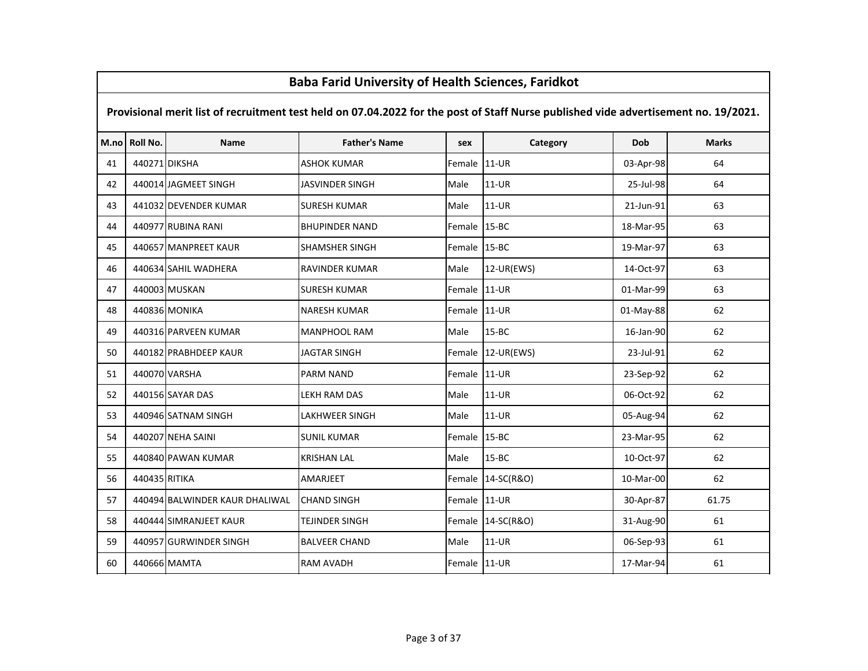### M.no Roll No. Name Father's Name sex Category Dob Marks Provisional merit list of recruitment test held on 07.04.2022 for the post of Staff Nurse published vide advertisement no. 19/2021.Baba Farid University of Health Sciences, Faridkot<sup>41</sup> <sup>440271</sup> DIKSHA ASHOK KUMAR Female 11-UR 03-Apr-98 <sup>64</sup><sup>42</sup> <sup>440014</sup> JAGMEET SINGH JASVINDER SINGH Male 11-UR 25-Jul-98 <sup>64</sup>43 | 441032 DEVENDER KUMAR SURESH KUMAR Male | 11-UR | 21-Jun-91 | 21-Jun-91 63 <sup>44</sup> <sup>440977</sup> RUBINA RANI BHUPINDER NAND Female 15-BC 18-Mar-95 <sup>63</sup>45 | 440657 MANPREET KAUR | SHAMSHER SINGH Female 15-BC 19-Mar-97 63 <sup>46</sup> <sup>440634</sup> SAHIL WADHERA RAVINDER KUMAR Male 12-UR(EWS) 14-Oct-97 <sup>63</sup><sup>47</sup> <sup>440003</sup> MUSKAN SURESH KUMAR Female 11-UR 01-Mar-99 <sup>63</sup><sup>48</sup> <sup>440836</sup> MONIKA NARESH KUMAR Female 11-UR 01-May-88 <sup>62</sup>49 | 440316 PARVEEN KUMAR MANPHOOL RAM Male 15-BC 15-BC 16-Jan-90 62 <sup>50</sup> <sup>440182</sup> PRABHDEEP KAUR JAGTAR SINGH Female 12-UR(EWS) 23-Jul-91 <sup>62</sup><sup>51</sup> <sup>440070</sup> VARSHA PARM NAND Female 11-UR 23-Sep-92 <sup>62</sup><sup>52</sup> <sup>440156</sup> SAYAR DAS LEKH RAM DAS Male 11-UR 06-Oct-92 <sup>62</sup><sup>53</sup> <sup>440946</sup> SATNAM SINGH LAKHWEER SINGH Male 11-UR 05-Aug-94 <sup>62</sup><sup>54</sup> <sup>440207</sup> NEHA SAINI SUNIL KUMAR Female 15-BC 23-Mar-95 <sup>62</sup><sup>55</sup> <sup>440840</sup> PAWAN KUMAR KRISHAN LAL Male 15-BC 10-Oct-97 <sup>62</sup>56 | 440435|RITIKA |AMARJEET | Female |14-SC(R&O) | 10-Mar-00 62 57 | 440494 BALWINDER KAUR DHALIWAL CHAND SINGH | Female | 11-UR | 30-Apr-87 | 61.75 58 440444 SIMRANJEET KAUR TEJINDER SINGH Female 14-SC(R&O) 31-Aug-90 61 <sup>59</sup> <sup>440957</sup> GURWINDER SINGH BALVEER CHAND Male 11-UR 06-Sep-93 <sup>61</sup><sup>60</sup> <sup>440666</sup> MAMTA RAM AVADH Female 11-UR 17-Mar-94 <sup>61</sup>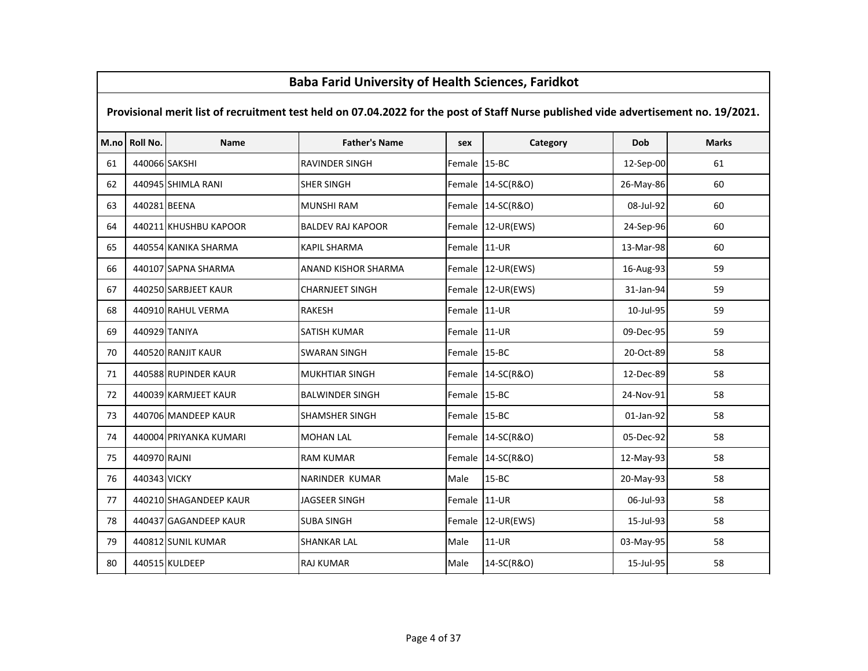### M.no Roll No. Name Father's Name sex Category Dob Marks Provisional merit list of recruitment test held on 07.04.2022 for the post of Staff Nurse published vide advertisement no. 19/2021.Baba Farid University of Health Sciences, Faridkot <sup>440066</sup> SAKSHI RAVINDER SINGH Female 15-BC 12-Sep-00 <sup>61</sup> <sup>440945</sup> SHIMLA RANI SHER SINGH Female 14-SC(R&O) 26-May-86 <sup>60</sup> <sup>440281</sup> BEENA MUNSHI RAM Female 14-SC(R&O) 08-Jul-92 <sup>60</sup>64 | 440211 KHUSHBU KAPOOR | BALDEV RAJ KAPOOR | Female 12-UR(EWS) | 24-Sep-96 60 65 | 440554 KANIKA SHARMA | KAPIL SHARMA | Female 11-UR | 13-Mar-98 60 <sup>440107</sup> SAPNA SHARMA ANAND KISHOR SHARMA Female 12-UR(EWS) 16-Aug-93 <sup>59</sup> <sup>440250</sup> SARBJEET KAUR CHARNJEET SINGH Female 12-UR(EWS) 31-Jan-94 <sup>59</sup> <sup>440910</sup> RAHUL VERMA RAKESH Female 11-UR 10-Jul-95 <sup>59</sup> <sup>440929</sup> TANIYA SATISH KUMAR Female 11-UR 09-Dec-95 <sup>59</sup> <sup>440520</sup> RANJIT KAUR SWARAN SINGH Female 15-BC 20-Oct-89 <sup>58</sup>71 | 440588 RUPINDER KAUR | MUKHTIAR SINGH | Female 14-SC(R&O) | 12-Dec-89 | 13-Dec-89 <sup>440039</sup> KARMJEET KAUR BALWINDER SINGH Female 15-BC 24-Nov-91 <sup>58</sup> <sup>440706</sup> MANDEEP KAUR SHAMSHER SINGH Female 15-BC 01-Jan-92 <sup>58</sup> <sup>440004</sup> PRIYANKA KUMARI MOHAN LAL Female 14-SC(R&O) 05-Dec-92 <sup>58</sup> <sup>440970</sup> RAJNI RAM KUMAR Female 14-SC(R&O) 12-May-93 <sup>58</sup> <sup>440343</sup> VICKY NARINDER KUMAR Male 15-BC 20-May-93 <sup>58</sup>77 | 440210 SHAGANDEEP KAUR | JAGSEER SINGH | Female 11-UR | 06-Jul-93 | 58 <sup>440437</sup> GAGANDEEP KAUR SUBA SINGH Female 12-UR(EWS) 15-Jul-93 <sup>58</sup> <sup>440812</sup> SUNIL KUMAR SHANKAR LAL Male 11-UR 03-May-95 <sup>58</sup><sup>440515</sup> KULDEEP RAJ KUMAR Male 14-SC(R&O) 15-Jul-95 <sup>58</sup>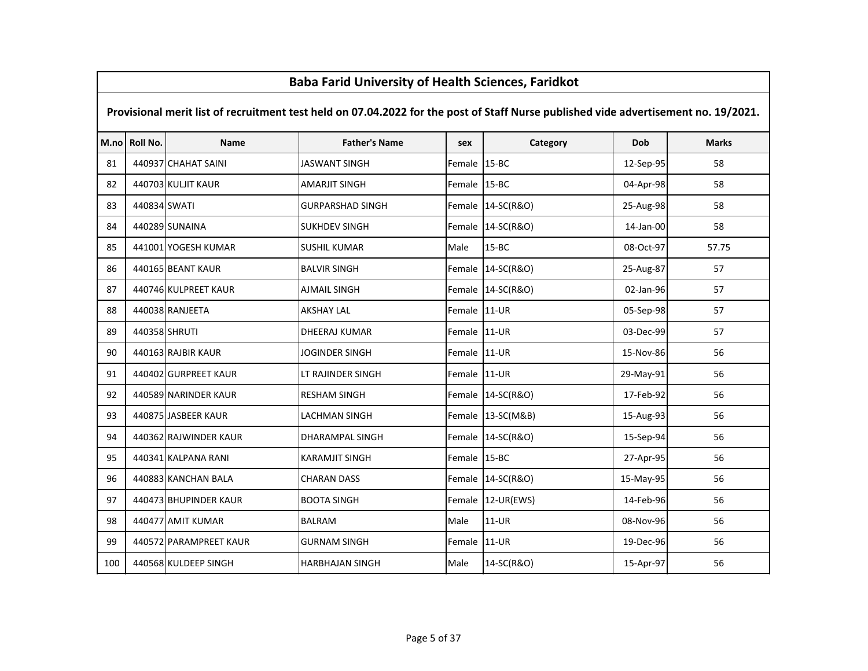# M.no Roll No. Name Father's Name sex Category Dob Marks Provisional merit list of recruitment test held on 07.04.2022 for the post of Staff Nurse published vide advertisement no. 19/2021.<sup>81</sup> <sup>440937</sup> CHAHAT SAINI JASWANT SINGH Female 15-BC 12-Sep-95 <sup>58</sup><sup>82</sup> <sup>440703</sup> KULJIT KAUR AMARJIT SINGH Female 15-BC 04-Apr-98 <sup>58</sup><sup>83</sup> <sup>440834</sup> SWATI GURPARSHAD SINGH Female 14-SC(R&O) 25-Aug-98 <sup>58</sup><sup>84</sup> <sup>440289</sup> SUNAINA SUKHDEV SINGH Female 14-SC(R&O) 14-Jan-00 <sup>58</sup>85 | 441001 YOGESH KUMAR | SUSHIL KUMAR | Male | 15-BC | 08-Oct-97 | 57.75 <sup>86</sup> <sup>440165</sup> BEANT KAUR BALVIR SINGH Female 14-SC(R&O) 25-Aug-87 <sup>57</sup>87 | 440746 KULPREET KAUR | AJMAIL SINGH | Female 14-SC(R&O) | 02-Jan-96 | 02-Jan-96 | 57 <sup>88</sup> <sup>440038</sup> RANJEETA AKSHAY LAL Female 11-UR 05-Sep-98 <sup>57</sup><sup>89</sup> <sup>440358</sup> SHRUTI DHEERAJ KUMAR Female 11-UR 03-Dec-99 <sup>57</sup><sup>90</sup> <sup>440163</sup> RAJBIR KAUR JOGINDER SINGH Female 11-UR 15-Nov-86 <sup>56</sup>91 | 440402 GURPREET KAUR | LT RAJINDER SINGH | Female 11-UR | 29-May-91 | 56 92 | 440589 NARINDER KAUR | RESHAM SINGH | Female 14-SC(R&O) | 17-Feb-92 | 17-Feb-92 | 56 <sup>93</sup> <sup>440875</sup> JASBEER KAUR LACHMAN SINGH Female 13-SC(M&B) 15-Aug-93 <sup>56</sup>94 | 440362 RAJWINDER KAUR | DHARAMPAL SINGH | Female 14-SC(R&O) | 15-Sep-94 | 15-Sep-94 <sup>95</sup> <sup>440341</sup> KALPANA RANI KARAMJIT SINGH Female 15-BC 27-Apr-95 <sup>56</sup><sup>96</sup> <sup>440883</sup> KANCHAN BALA CHARAN DASS Female 14-SC(R&O) 15-May-95 <sup>56</sup>97 | 440473 BHUPINDER KAUR | BOOTA SINGH | Female 12-UR(EWS) | 14-Feb-96 | 14-Feb-96 | 56 <sup>98</sup> <sup>440477</sup> AMIT KUMAR BALRAM Male 11-UR 08-Nov-96 <sup>56</sup>99 | 440572 PARAMPREET KAUR | GURNAM SINGH | Female 11-UR | 19-Dec-96 | 56 <sup>100</sup> <sup>440568</sup> KULDEEP SINGH HARBHAJAN SINGH Male 14-SC(R&O) 15-Apr-97 <sup>56</sup>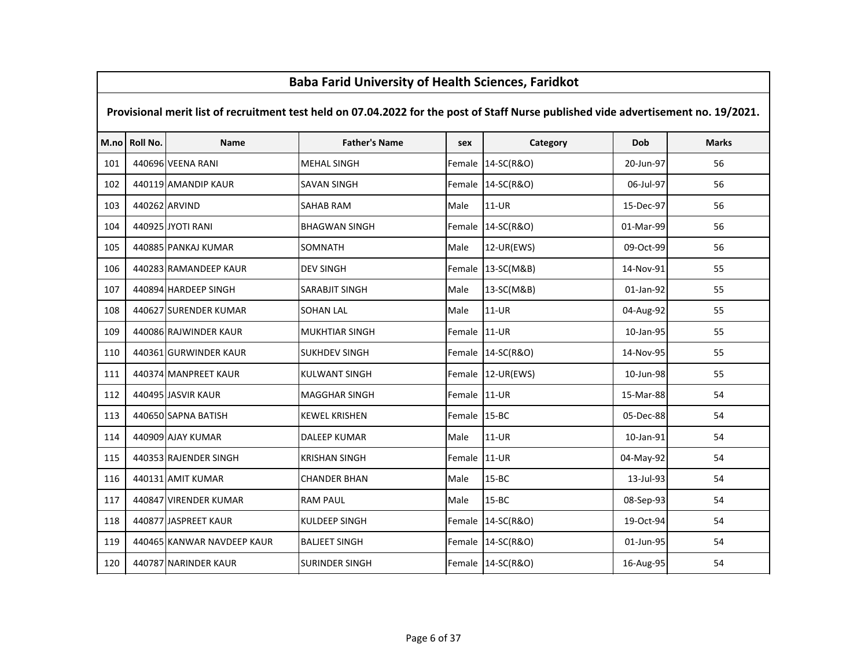### M.no Roll No. Name Father's Name sex Category Dob Marks Provisional merit list of recruitment test held on 07.04.2022 for the post of Staff Nurse published vide advertisement no. 19/2021.Baba Farid University of Health Sciences, Faridkot<sup>101</sup> <sup>440696</sup> VEENA RANI MEHAL SINGH Female 14-SC(R&O) 20-Jun-97 <sup>56</sup>102 | 440119 AMANDIP KAUR | SAVAN SINGH | SAVAN SINGH | Female 14-SC(R&O) | 06-Jul-97 | 56 <sup>103</sup> <sup>440262</sup> ARVIND SAHAB RAM Male 11-UR 15-Dec-97 <sup>56</sup><sup>104</sup> <sup>440925</sup> JYOTI RANI BHAGWAN SINGH Female 14-SC(R&O) 01-Mar-99 <sup>56</sup><sup>105</sup> <sup>440885</sup> PANKAJ KUMAR SOMNATH Male 12-UR(EWS) 09-Oct-99 <sup>56</sup><sup>106</sup> <sup>440283</sup> RAMANDEEP KAUR DEV SINGH Female 13-SC(M&B) 14-Nov-91 <sup>55</sup>107 | 440894 HARDEEP SINGH | SARABJIT SINGH | Male | 13-SC(M&B) | 01-Jan-92 | 55 108 | 440627 SURENDER KUMAR SOHAN LAL NAL | Male 11-UR | 04-Aug-92 | 55 109 | 440086 RAJWINDER KAUR | MUKHTIAR SINGH | Female 11-UR | 10-Jan-95 | 55 110 | 440361 GURWINDER KAUR | SUKHDEV SINGH | Female 14-SC(R&O) | 14-Nov-95 | 14-Nov-95 | 55 111 | 440374 MANPREET KAUR | KULWANT SINGH | Female 12-UR(EWS) | 10-Jun-98 | 10-Jun-98 | 55 <sup>112</sup> <sup>440495</sup> JASVIR KAUR MAGGHAR SINGH Female 11-UR 15-Mar-88 <sup>54</sup><sup>113</sup> <sup>440650</sup> SAPNA BATISH KEWEL KRISHEN Female 15-BC 05-Dec-88 <sup>54</sup><sup>114</sup> <sup>440909</sup> AJAY KUMAR DALEEP KUMAR Male 11-UR 10-Jan-91 <sup>54</sup><sup>115</sup> <sup>440353</sup> RAJENDER SINGH KRISHAN SINGH Female 11-UR 04-May-92 <sup>54</sup><sup>116</sup> <sup>440131</sup> AMIT KUMAR CHANDER BHAN Male 15-BC 13-Jul-93 <sup>54</sup>117 | 440847 VIRENDER KUMAR | RAM PAUL | Male | 15-BC | 08-Sep-93 | 08-Sep-93 | 54 <sup>118</sup> <sup>440877</sup> JASPREET KAUR KULDEEP SINGH Female 14-SC(R&O) 19-Oct-94 <sup>54</sup>119 | 440465 KANWAR NAVDEEP KAUR | BALJEET SINGH | Eemale 14-SC(R&O) | 01-Jun-95 | 54 120 | 440787 NARINDER KAUR | SURINDER SINGH | Female 14-SC(R&O) | 16-Aug-95 | 54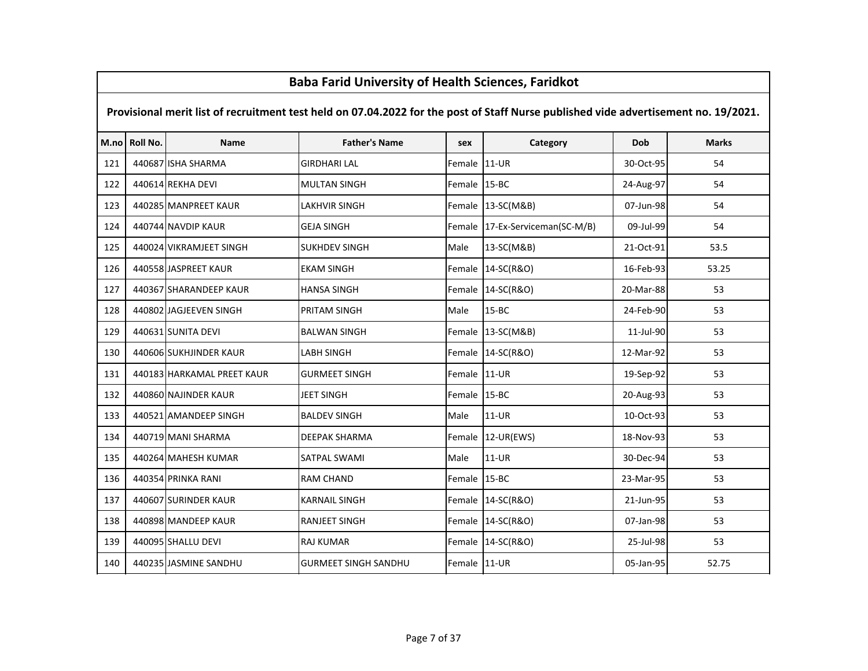|     | Dava Fariu Offiversity of Health Sciences, Fariunut                                                                                 |                            |                             |              |                          |           |              |  |  |  |  |
|-----|-------------------------------------------------------------------------------------------------------------------------------------|----------------------------|-----------------------------|--------------|--------------------------|-----------|--------------|--|--|--|--|
|     | Provisional merit list of recruitment test held on 07.04.2022 for the post of Staff Nurse published vide advertisement no. 19/2021. |                            |                             |              |                          |           |              |  |  |  |  |
|     | M.no Roll No.                                                                                                                       | <b>Name</b>                | <b>Father's Name</b>        | sex          | Category                 | Dob       | <b>Marks</b> |  |  |  |  |
| 121 |                                                                                                                                     | 440687 ISHA SHARMA         | <b>GIRDHARI LAL</b>         | Female       | $11-UR$                  | 30-Oct-95 | 54           |  |  |  |  |
| 122 |                                                                                                                                     | 440614 REKHA DEVI          | <b>MULTAN SINGH</b>         | Female 15-BC |                          | 24-Aug-97 | 54           |  |  |  |  |
| 123 |                                                                                                                                     | 440285 MANPREET KAUR       | <b>LAKHVIR SINGH</b>        | Female       | 13-SC(M&B)               | 07-Jun-98 | 54           |  |  |  |  |
| 124 |                                                                                                                                     | 440744 NAVDIP KAUR         | <b>GEJA SINGH</b>           | Female       | 17-Ex-Serviceman(SC-M/B) | 09-Jul-99 | 54           |  |  |  |  |
| 125 |                                                                                                                                     | 440024 VIKRAMJEET SINGH    | <b>SUKHDEV SINGH</b>        | Male         | 13-SC(M&B)               | 21-Oct-91 | 53.5         |  |  |  |  |
| 126 |                                                                                                                                     | 440558 JASPREET KAUR       | <b>EKAM SINGH</b>           | Female       | 14-SC(R&O)               | 16-Feb-93 | 53.25        |  |  |  |  |
| 127 |                                                                                                                                     | 440367 SHARANDEEP KAUR     | <b>HANSA SINGH</b>          |              | Female 14-SC(R&O)        | 20-Mar-88 | 53           |  |  |  |  |
| 128 |                                                                                                                                     | 440802 JAGJEEVEN SINGH     | PRITAM SINGH                | Male         | $15 - BC$                | 24-Feb-90 | 53           |  |  |  |  |
| 129 |                                                                                                                                     | 440631 SUNITA DEVI         | <b>BALWAN SINGH</b>         | Female       | 13-SC(M&B)               | 11-Jul-90 | 53           |  |  |  |  |
| 130 |                                                                                                                                     | 440606 SUKHJINDER KAUR     | <b>LABH SINGH</b>           |              | Female 14-SC(R&O)        | 12-Mar-92 | 53           |  |  |  |  |
| 131 |                                                                                                                                     | 440183 HARKAMAL PREET KAUR | <b>GURMEET SINGH</b>        | Female 11-UR |                          | 19-Sep-92 | 53           |  |  |  |  |
| 132 |                                                                                                                                     | 440860 NAJINDER KAUR       | <b>JEET SINGH</b>           | Female 15-BC |                          | 20-Aug-93 | 53           |  |  |  |  |
| 133 |                                                                                                                                     | 440521 AMANDEEP SINGH      | <b>BALDEV SINGH</b>         | Male         | 11-UR                    | 10-Oct-93 | 53           |  |  |  |  |
| 134 |                                                                                                                                     | 440719 MANI SHARMA         | <b>DEEPAK SHARMA</b>        | Female       | 12-UR(EWS)               | 18-Nov-93 | 53           |  |  |  |  |
| 135 |                                                                                                                                     | 440264 MAHESH KUMAR        | SATPAL SWAMI                | Male         | 11-UR                    | 30-Dec-94 | 53           |  |  |  |  |
| 136 |                                                                                                                                     | 440354 PRINKA RANI         | <b>RAM CHAND</b>            | Female 15-BC |                          | 23-Mar-95 | 53           |  |  |  |  |
| 137 |                                                                                                                                     | 440607 SURINDER KAUR       | <b>KARNAIL SINGH</b>        |              | Female 14-SC(R&O)        | 21-Jun-95 | 53           |  |  |  |  |
| 138 |                                                                                                                                     | 440898 MANDEEP KAUR        | <b>RANJEET SINGH</b>        |              | Female 14-SC(R&O)        | 07-Jan-98 | 53           |  |  |  |  |
| 139 |                                                                                                                                     | 440095 SHALLU DEVI         | <b>RAJ KUMAR</b>            |              | Female 14-SC(R&O)        | 25-Jul-98 | 53           |  |  |  |  |
| 140 |                                                                                                                                     | 440235 JASMINE SANDHU      | <b>GURMEET SINGH SANDHU</b> | Female 11-UR |                          | 05-Jan-95 | 52.75        |  |  |  |  |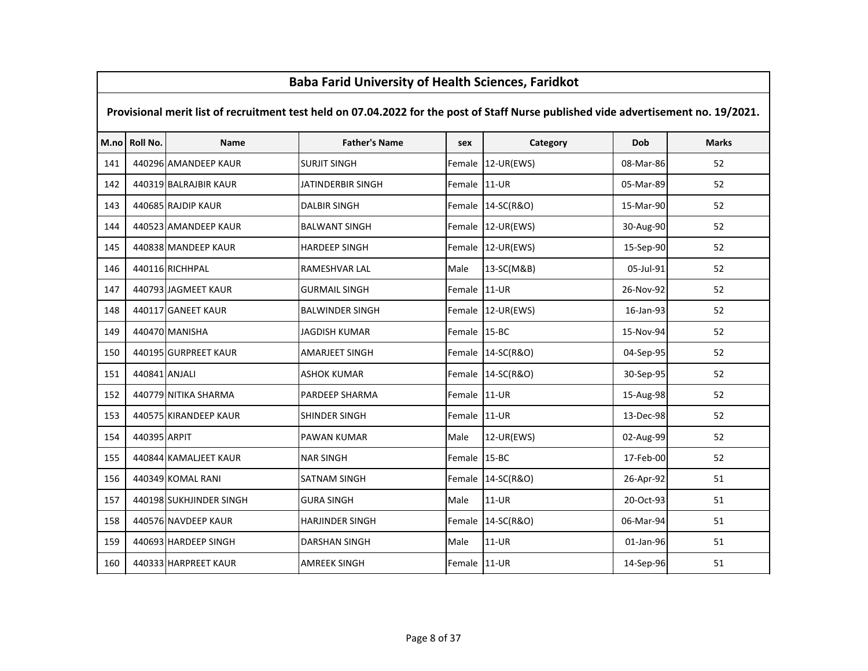### M.no Roll No. Name Father's Name sex Category Dob Marks Provisional merit list of recruitment test held on 07.04.2022 for the post of Staff Nurse published vide advertisement no. 19/2021.Baba Farid University of Health Sciences, Faridkot141 | 440296 AMANDEEP KAUR | SURJIT SINGH | SERBENGH | SERBENGH | SERBENGH | SERBENGH | SERBENGH | SERBENGH | S <sup>142</sup> <sup>440319</sup> BALRAJBIR KAUR JATINDERBIR SINGH Female 11-UR 05-Mar-89 <sup>52</sup><sup>143</sup> <sup>440685</sup> RAJDIP KAUR DALBIR SINGH Female 14-SC(R&O) 15-Mar-90 <sup>52</sup>144 | 440523 AMANDEEP KAUR | BALWANT SINGH | Female 12-UR(EWS) | 30-Aug-90 | 52 145 | 440838 MANDEEP KAUR | HARDEEP SINGH | Female 12-UR(EWS) | 15-Sep-90 | 52 <sup>146</sup> <sup>440116</sup> RICHHPAL RAMESHVAR LAL Male 13-SC(M&B) 05-Jul-91 <sup>52</sup><sup>147</sup> <sup>440793</sup> JAGMEET KAUR GURMAIL SINGH Female 11-UR 26-Nov-92 <sup>52</sup><sup>148</sup> <sup>440117</sup> GANEET KAUR BALWINDER SINGH Female 12-UR(EWS) 16-Jan-93 <sup>52</sup><sup>149</sup> <sup>440470</sup> MANISHA JAGDISH KUMAR Female 15-BC 15-Nov-94 <sup>52</sup><sup>150</sup> <sup>440195</sup> GURPREET KAUR AMARJEET SINGH Female 14-SC(R&O) 04-Sep-95 <sup>52</sup><sup>151</sup> <sup>440841</sup> ANJALI ASHOK KUMAR Female 14-SC(R&O) 30-Sep-95 <sup>52</sup>152 | 440779 NITIKA SHARMA | PARDEEP SHARMA | Female 11-UR | 15-Aug-98 | 15-Aug-98 | 52 <sup>153</sup> <sup>440575</sup> KIRANDEEP KAUR SHINDER SINGH Female 11-UR 13-Dec-98 <sup>52</sup><sup>154</sup> <sup>440395</sup> ARPIT PAWAN KUMAR Male 12-UR(EWS) 02-Aug-99 <sup>52</sup><sup>155</sup> <sup>440844</sup> KAMALJEET KAUR NAR SINGH Female 15-BC 17-Feb-00 <sup>52</sup><sup>156</sup> <sup>440349</sup> KOMAL RANI SATNAM SINGH Female 14-SC(R&O) 26-Apr-92 <sup>51</sup>157 | 440198 SUKHJINDER SINGH | GURA SINGH | Male | 11-UR | 20-Oct-93 | S1 <sup>158</sup> <sup>440576</sup> NAVDEEP KAUR HARJINDER SINGH Female 14-SC(R&O) 06-Mar-94 <sup>51</sup><sup>159</sup> <sup>440693</sup> HARDEEP SINGH DARSHAN SINGH Male 11-UR 01-Jan-96 <sup>51</sup>160 | 440333 HARPREET KAUR | AMREEK SINGH | Female 11-UR | 14-Sep-96 | 14-Sep-96 | 51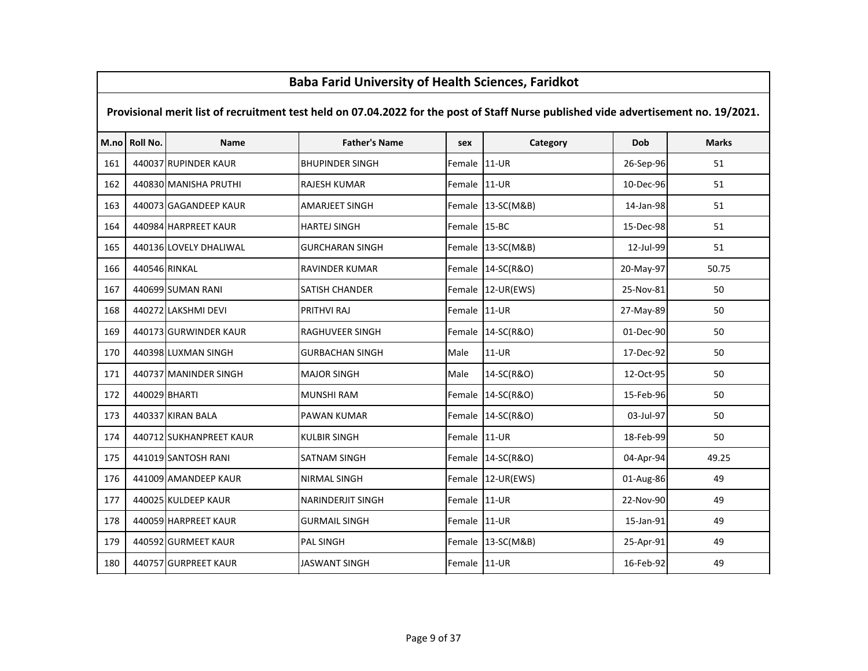# M.no Roll No. Name Father's Name sex Category Dob Marks Provisional merit list of recruitment test held on 07.04.2022 for the post of Staff Nurse published vide advertisement no. 19/2021.161 | 440037 RUPINDER KAUR | BHUPINDER SINGH | Female 11-UR | 26-Sep-96 | 51 162 | 440830 MANISHA PRUTHI KAJESH KUMAR | Female 11-UR | 10-Dec-96 | 51 163 | 440073 GAGANDEEP KAUR | AMARJEET SINGH | Female 13-SC(M&B) | 14-Jan-98 | 14-Jan-98 51 164 | 440984 HARPREET KAUR | HARTEJ SINGH | Female 15-BC | 15-BC | 15-Dec-98 | 51 <sup>165</sup> <sup>440136</sup> LOVELY DHALIWAL GURCHARAN SINGH Female 13-SC(M&B) 12-Jul-99 <sup>51</sup><sup>166</sup> <sup>440546</sup> RINKAL RAVINDER KUMAR Female 14-SC(R&O) 20-May-97 50.75<sup>167</sup> <sup>440699</sup> SUMAN RANI SATISH CHANDER Female 12-UR(EWS) 25-Nov-81 <sup>50</sup><sup>168</sup> <sup>440272</sup> LAKSHMI DEVI PRITHVI RAJ Female 11-UR 27-May-89 <sup>50</sup>169 | 440173 GURWINDER KAUR | RAGHUVEER SINGH | Female 14-SC(R&O) | 01-Dec-90 | 50 <sup>170</sup> <sup>440398</sup> LUXMAN SINGH GURBACHAN SINGH Male 11-UR 17-Dec-92 <sup>50</sup>171 | 440737 MANINDER SINGH MAJOR SINGH MAJOR SINGH Male 14-SC(R&O) | 12-Oct-95 | 12-Oct-95 50 <sup>172</sup> <sup>440029</sup> BHARTI MUNSHI RAM Female 14-SC(R&O) 15-Feb-96 <sup>50</sup><sup>173</sup> <sup>440337</sup> KIRAN BALA PAWAN KUMAR Female 14-SC(R&O) 03-Jul-97 <sup>50</sup>174 | 440712 SUKHANPREET KAUR | KULBIR SINGH | Female 11-UR | 18-Feb-99 50 50 <sup>175</sup> <sup>441019</sup> SANTOSH RANI SATNAM SINGH Female 14-SC(R&O) 04-Apr-94 49.25176 | 441009 AMANDEEP KAUR | NIRMAL SINGH | Eemale 12-UR(EWS) | 01-Aug-86 | 49 177 | 440025 KULDEEP KAUR | NARINDERJIT SINGH | Female 11-UR | 22-Nov-90 | 23-Nov-90 49 <sup>178</sup> <sup>440059</sup> HARPREET KAUR GURMAIL SINGH Female 11-UR 15-Jan-91 <sup>49</sup>179 | 440592 GURMEET KAUR | PAL SINGH | PAL SINGH | Female 13-SC(M&B) | 25-Apr-91 | 49 180 | 440757 GURPREET KAUR | JASWANT SINGH | Female 11-UR | 16-Feb-92 | 16-Feb-92 | 49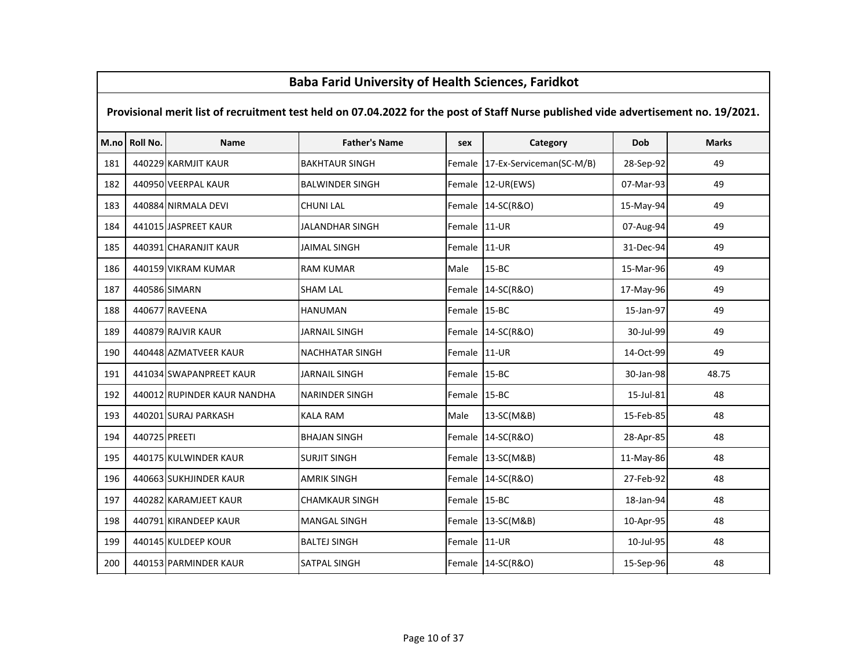# M.no Roll No. Name Father's Name sex Category Dob Marks Provisional merit list of recruitment test held on 07.04.2022 for the post of Staff Nurse published vide advertisement no. 19/2021.<sup>181</sup> <sup>440229</sup> KARMJIT KAUR BAKHTAUR SINGH Female 17-Ex-Serviceman(SC-M/B) 28-Sep-92 <sup>49</sup><sup>182</sup> <sup>440950</sup> VEERPAL KAUR BALWINDER SINGH Female 12-UR(EWS) 07-Mar-93 <sup>49</sup><sup>183</sup> <sup>440884</sup> NIRMALA DEVI CHUNI LAL Female 14-SC(R&O) 15-May-94 <sup>49</sup><sup>184</sup> <sup>441015</sup> JASPREET KAUR JALANDHAR SINGH Female 11-UR 07-Aug-94 <sup>49</sup>185 | 440391 CHARANJIT KAUR | JAIMAL SINGH | SINGH | Female 11-UR | 31-Dec-94 | 31-Pec-94 | 49 <sup>186</sup> <sup>440159</sup> VIKRAM KUMAR RAM KUMAR Male 15-BC 15-Mar-96 <sup>49</sup><sup>187</sup> <sup>440586</sup> SIMARN SHAM LAL Female 14-SC(R&O) 17-May-96 <sup>49</sup><sup>188</sup> <sup>440677</sup> RAVEENA HANUMAN Female 15-BC 15-Jan-97 <sup>49</sup><sup>189</sup> <sup>440879</sup> RAJVIR KAUR JARNAIL SINGH Female 14-SC(R&O) 30-Jul-99 <sup>49</sup>190 | 440448 AZMATVEER KAUR | NACHHATAR SINGH | Female 11-UR | 14-Oct-99 | 14-Oct-99 | 49 191 | 441034 SWAPANPREET KAUR | JARNAIL SINGH | Female | 15-BC | 30-Jan-98 | 48.75 192 | 440012 RUPINDER KAUR NANDHA | NARINDER SINGH | Female 15-BC | 15-Jul-81 | 15-Jul-81 | 48 <sup>193</sup> <sup>440201</sup> SURAJ PARKASH KALA RAM Male 13-SC(M&B) 15-Feb-85 <sup>48</sup><sup>194</sup> <sup>440725</sup> PREETI BHAJAN SINGH Female 14-SC(R&O) 28-Apr-85 <sup>48</sup>195 | 440175 KULWINDER KAUR | SURJIT SINGH | SURJIT SINGH | Female 13-SC(M&B) | 11-May-86 | 48 196 | 440663 SUKHJINDER KAUR | AMRIK SINGH | Female 14-SC(R&O) | 27-Feb-92 | 48 197 | 440282 KARAMJEET KAUR | CHAMKAUR SINGH | Female 15-BC | 18-Jan-94 | 18-Jan-94 | 48 198 | 440791 KIRANDEEP KAUR | MANGAL SINGH | GERTALE | TEMALE | 13-SC(M&B) | 10-Apr-95 | 48 199 | 440145 KULDEEP KOUR | BALTEJ SINGH | Female 11-UR | 10-Jul-95 | 10-Jul-95 | 48 200 | 440153 PARMINDER KAUR | SATPAL SINGH | SATPAL SINGH | Female 14-SC(R&O) | 15-Sep-96 | 48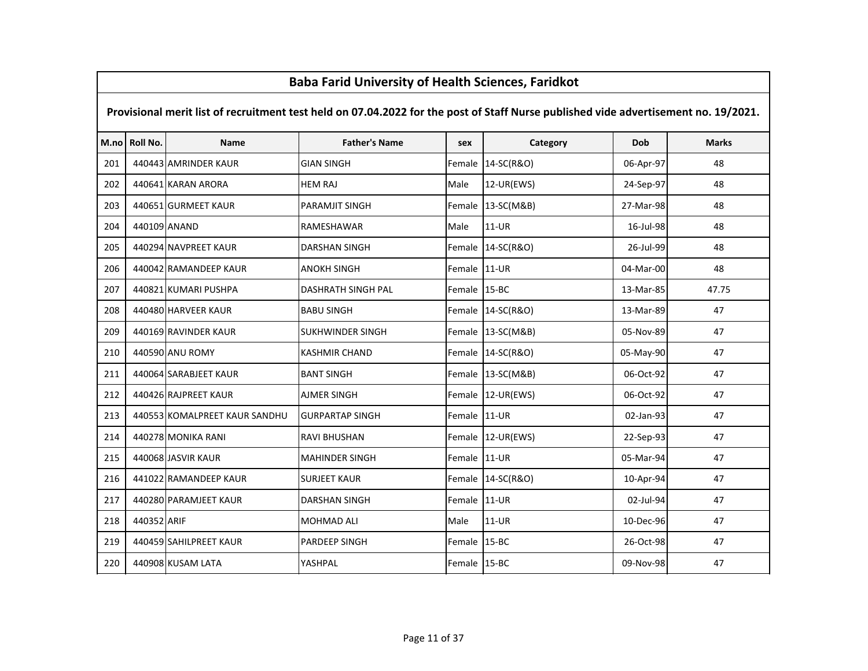# M.no Roll No. Name Father's Name sex Category Dob Marks Provisional merit list of recruitment test held on 07.04.2022 for the post of Staff Nurse published vide advertisement no. 19/2021.201 | 440443 AMRINDER KAUR GIAN SINGH GIAN SINGH Female 14-SC(R&O) | 06-Apr-97 | 48 <sup>202</sup> <sup>440641</sup> KARAN ARORA HEM RAJ Male 12-UR(EWS) 24-Sep-97 <sup>48</sup><sup>203</sup> <sup>440651</sup> GURMEET KAUR PARAMJIT SINGH Female 13-SC(M&B) 27-Mar-98 <sup>48</sup>204 440109 ANAND RAMESHAWAR Male 11-UR 16-Jul-98 48 <sup>205</sup> <sup>440294</sup> NAVPREET KAUR DARSHAN SINGH Female 14-SC(R&O) 26-Jul-99 <sup>48</sup><sup>206</sup> <sup>440042</sup> RAMANDEEP KAUR ANOKH SINGH Female 11-UR 04-Mar-00 <sup>48</sup><sup>207</sup> <sup>440821</sup> KUMARI PUSHPA DASHRATH SINGH PAL Female 15-BC 13-Mar-85 47.75<sup>208</sup> <sup>440480</sup> HARVEER KAUR BABU SINGH Female 14-SC(R&O) 13-Mar-89 <sup>47</sup>209 | 440169 RAVINDER KAUR | SUKHWINDER SINGH | Female 13-SC(M&B) | 05-Nov-89 47 <sup>210</sup> <sup>440590</sup> ANU ROMY KASHMIR CHAND Female 14-SC(R&O) 05-May-90 <sup>47</sup><sup>211</sup> <sup>440064</sup> SARABJEET KAUR BANT SINGH Female 13-SC(M&B) 06-Oct-92 <sup>47</sup><sup>212</sup> <sup>440426</sup> RAJPREET KAUR AJMER SINGH Female 12-UR(EWS) 06-Oct-92 <sup>47</sup>213 | 440553 KOMALPREET KAUR SANDHU | GURPARTAP SINGH | Female 11-UR | 02-Jan-93 | 47 <sup>214</sup> <sup>440278</sup> MONIKA RANI RAVI BHUSHAN Female 12-UR(EWS) 22-Sep-93 <sup>47</sup><sup>215</sup> <sup>440068</sup> JASVIR KAUR MAHINDER SINGH Female 11-UR 05-Mar-94 <sup>47</sup>216 | 441022 RAMANDEEP KAUR | SURJEET KAUR | Female 14-SC(R&O) | 10-Apr-94 47 217 | 440280 PARAMJEET KAUR | DARSHAN SINGH | Female 11-UR | 02-Jul-94 47 <sup>218</sup> <sup>440352</sup> ARIF MOHMAD ALI Male 11-UR 10-Dec-96 <sup>47</sup>219 | 440459 SAHILPREET KAUR | PARDEEP SINGH | Female 15-BC | 26-Oct-98 | 26-Oct-98 47 <sup>220</sup> <sup>440908</sup> KUSAM LATA YASHPAL Female 15-BC 09-Nov-98 <sup>47</sup>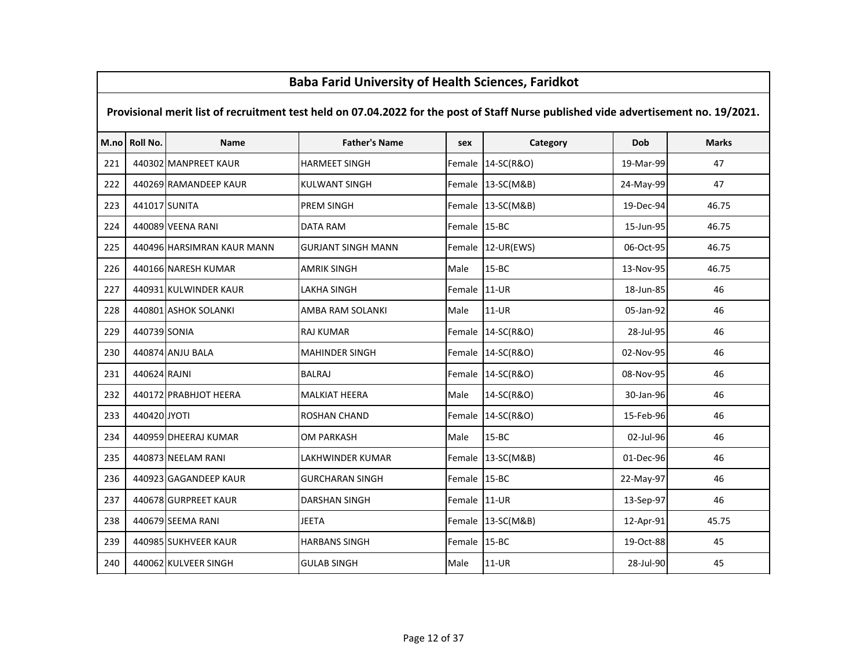# M.no Roll No. Name Father's Name sex Category Dob Marks Provisional merit list of recruitment test held on 07.04.2022 for the post of Staff Nurse published vide advertisement no. 19/2021.221 | 440302 MANPREET KAUR | HARMEET SINGH | Female 14-SC(R&O) | 19-Mar-99 | 47 222 440269 RAMANDEEP KAUR KULWANT SINGH Female 13-SC(M&B) 24-May-99 47 <sup>223</sup> <sup>441017</sup> SUNITA PREM SINGH Female 13-SC(M&B) 19-Dec-94 46.75<sup>224</sup> <sup>440089</sup> VEENA RANI DATA RAM Female 15-BC 15-Jun-95 46.75225 | 440496 HARSIMRAN KAUR MANN | GURJANT SINGH MANN | Female 12-UR(EWS) | 06-Oct-95 | 46.75 <sup>226</sup> <sup>440166</sup> NARESH KUMAR AMRIK SINGH Male 15-BC 13-Nov-95 46.75<sup>227</sup> <sup>440931</sup> KULWINDER KAUR LAKHA SINGH Female 11-UR 18-Jun-85 <sup>46</sup><sup>228</sup> <sup>440801</sup> ASHOK SOLANKI AMBA RAM SOLANKI Male 11-UR 05-Jan-92 <sup>46</sup><sup>229</sup> <sup>440739</sup> SONIA RAJ KUMAR Female 14-SC(R&O) 28-Jul-95 <sup>46</sup><sup>230</sup> <sup>440874</sup> ANJU BALA MAHINDER SINGH Female 14-SC(R&O) 02-Nov-95 <sup>46</sup><sup>231</sup> <sup>440624</sup> RAJNI BALRAJ Female 14-SC(R&O) 08-Nov-95 <sup>46</sup>232 | 440172 PRABHJOT HEERA MALKIAT HEERA Male 14-SC(R&O) | 30-Jan-96 46 <sup>233</sup> <sup>440420</sup> JYOTI ROSHAN CHAND Female 14-SC(R&O) 15-Feb-96 <sup>46</sup>234 | 440959 DHEERAJ KUMAR | OM PARKASH | Male | 15-BC | 02-Jul-96 | 02-Jul-96 | 46 <sup>235</sup> <sup>440873</sup> NEELAM RANI LAKHWINDER KUMAR Female 13-SC(M&B) 01-Dec-96 <sup>46</sup><sup>236</sup> <sup>440923</sup> GAGANDEEP KAUR GURCHARAN SINGH Female 15-BC 22-May-97 <sup>46</sup>237 | 440678 GURPREET KAUR | DARSHAN SINGH | Female 11-UR | 13-Sep-97 | 13-Sep-97 | 46 <sup>238</sup> <sup>440679</sup> SEEMA RANI JEETA Female 13-SC(M&B) 12-Apr-91 45.75239 | 440985 SUKHVEER KAUR | HARBANS SINGH | Female 15-BC | 19-Oct-88 | 19-Oct-88 45 <sup>240</sup> <sup>440062</sup> KULVEER SINGH GULAB SINGH Male 11-UR 28-Jul-90 <sup>45</sup>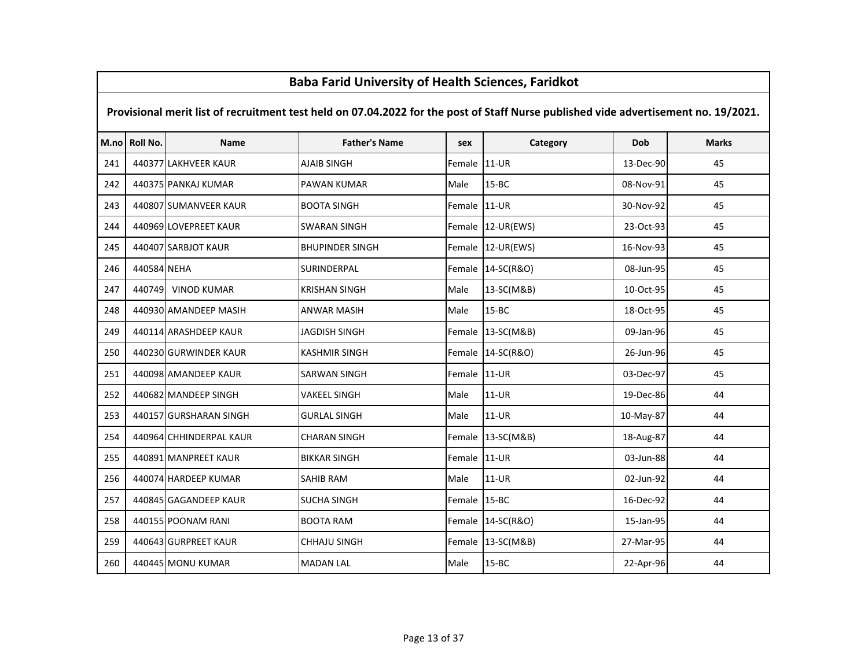|      | <b>Baba Farid University of Health Sciences, Faridkot</b>                                                                           |                         |                        |              |                   |            |              |  |  |  |  |
|------|-------------------------------------------------------------------------------------------------------------------------------------|-------------------------|------------------------|--------------|-------------------|------------|--------------|--|--|--|--|
|      | Provisional merit list of recruitment test held on 07.04.2022 for the post of Staff Nurse published vide advertisement no. 19/2021. |                         |                        |              |                   |            |              |  |  |  |  |
| M.no | Roll No.                                                                                                                            | <b>Name</b>             | <b>Father's Name</b>   | sex          | Category          | <b>Dob</b> | <b>Marks</b> |  |  |  |  |
| 241  |                                                                                                                                     | 440377 LAKHVEER KAUR    | <b>AJAIB SINGH</b>     | Female       | $11-UR$           | 13-Dec-90  | 45           |  |  |  |  |
| 242  |                                                                                                                                     | 440375 PANKAJ KUMAR     | PAWAN KUMAR            | Male         | $15 - BC$         | 08-Nov-91  | 45           |  |  |  |  |
| 243  |                                                                                                                                     | 440807 SUMANVEER KAUR   | <b>BOOTA SINGH</b>     | Female       | $11-UR$           | 30-Nov-92  | 45           |  |  |  |  |
| 244  |                                                                                                                                     | 440969 LOVEPREET KAUR   | SWARAN SINGH           |              | Female 12-UR(EWS) | 23-Oct-93  | 45           |  |  |  |  |
| 245  |                                                                                                                                     | 440407 SARBJOT KAUR     | <b>BHUPINDER SINGH</b> |              | Female 12-UR(EWS) | 16-Nov-93  | 45           |  |  |  |  |
| 246  | 440584 NEHA                                                                                                                         |                         | SURINDERPAL            | Female       | 14-SC(R&O)        | 08-Jun-95  | 45           |  |  |  |  |
| 247  |                                                                                                                                     | 440749 VINOD KUMAR      | <b>KRISHAN SINGH</b>   | Male         | 13-SC(M&B)        | 10-Oct-95  | 45           |  |  |  |  |
| 248  |                                                                                                                                     | 440930 AMANDEEP MASIH   | <b>ANWAR MASIH</b>     | Male         | $15 - BC$         | 18-Oct-95  | 45           |  |  |  |  |
| 249  |                                                                                                                                     | 440114 ARASHDEEP KAUR   | JAGDISH SINGH          | Female       | 13-SC(M&B)        | 09-Jan-96  | 45           |  |  |  |  |
| 250  |                                                                                                                                     | 440230 GURWINDER KAUR   | <b>KASHMIR SINGH</b>   |              | Female 14-SC(R&O) | 26-Jun-96  | 45           |  |  |  |  |
| 251  |                                                                                                                                     | 440098 AMANDEEP KAUR    | <b>SARWAN SINGH</b>    | Female 11-UR |                   | 03-Dec-97  | 45           |  |  |  |  |
| 252  |                                                                                                                                     | 440682 MANDEEP SINGH    | <b>VAKEEL SINGH</b>    | Male         | $11-UR$           | 19-Dec-86  | 44           |  |  |  |  |
| 253  |                                                                                                                                     | 440157 GURSHARAN SINGH  | <b>GURLAL SINGH</b>    | Male         | $11-UR$           | 10-May-87  | 44           |  |  |  |  |
| 254  |                                                                                                                                     | 440964 CHHINDERPAL KAUR | <b>CHARAN SINGH</b>    | Female       | 13-SC(M&B)        | 18-Aug-87  | 44           |  |  |  |  |
| 255  |                                                                                                                                     | 440891 MANPREET KAUR    | <b>BIKKAR SINGH</b>    | Female       | $11-UR$           | 03-Jun-88  | 44           |  |  |  |  |
| 256  |                                                                                                                                     | 440074 HARDEEP KUMAR    | <b>SAHIB RAM</b>       | Male         | 11-UR             | 02-Jun-92  | 44           |  |  |  |  |
| 257  |                                                                                                                                     | 440845 GAGANDEEP KAUR   | <b>SUCHA SINGH</b>     | Female       | $15 - BC$         | 16-Dec-92  | 44           |  |  |  |  |
| 258  |                                                                                                                                     | 440155 POONAM RANI      | <b>BOOTA RAM</b>       |              | Female 14-SC(R&O) | 15-Jan-95  | 44           |  |  |  |  |
| 259  |                                                                                                                                     | 440643 GURPREET KAUR    | <b>CHHAJU SINGH</b>    | Female       | 13-SC(M&B)        | 27-Mar-95  | 44           |  |  |  |  |
| 260  |                                                                                                                                     | 440445 MONU KUMAR       | <b>MADAN LAL</b>       | Male         | $15 - BC$         | 22-Apr-96  | 44           |  |  |  |  |

 $\mathsf{r}$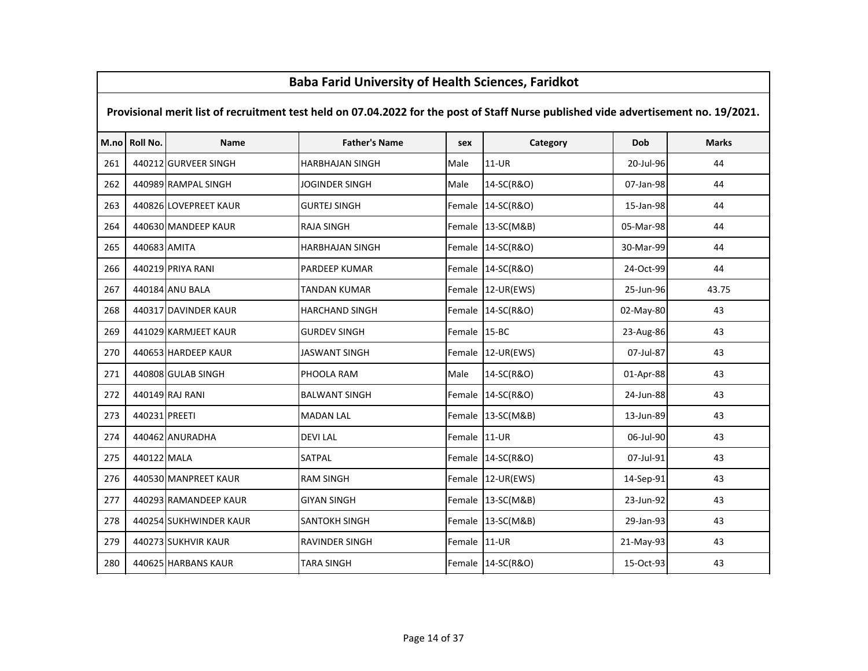# M.no Roll No. Name Father's Name sex Category Dob Marks Provisional merit list of recruitment test held on 07.04.2022 for the post of Staff Nurse published vide advertisement no. 19/2021. <sup>440212</sup> GURVEER SINGH HARBHAJAN SINGH Male 11-UR 20-Jul-96 <sup>44</sup> <sup>440989</sup> RAMPAL SINGH JOGINDER SINGH Male 14-SC(R&O) 07-Jan-98 <sup>44</sup> <sup>440826</sup> LOVEPREET KAUR GURTEJ SINGH Female 14-SC(R&O) 15-Jan-98 <sup>44</sup> <sup>440630</sup> MANDEEP KAUR RAJA SINGH Female 13-SC(M&B) 05-Mar-98 <sup>44</sup> <sup>440683</sup> AMITA HARBHAJAN SINGH Female 14-SC(R&O) 30-Mar-99 <sup>44</sup> <sup>440219</sup> PRIYA RANI PARDEEP KUMAR Female 14-SC(R&O) 24-Oct-99 <sup>44</sup> <sup>440184</sup> ANU BALA TANDAN KUMAR Female 12-UR(EWS) 25-Jun-96 43.75 <sup>440317</sup> DAVINDER KAUR HARCHAND SINGH Female 14-SC(R&O) 02-May-80 <sup>43</sup> <sup>441029</sup> KARMJEET KAUR GURDEV SINGH Female 15-BC 23-Aug-86 <sup>43</sup> <sup>440653</sup> HARDEEP KAUR JASWANT SINGH Female 12-UR(EWS) 07-Jul-87 <sup>43</sup> <sup>440808</sup> GULAB SINGH PHOOLA RAM Male 14-SC(R&O) 01-Apr-88 <sup>43</sup> <sup>440149</sup> RAJ RANI BALWANT SINGH Female 14-SC(R&O) 24-Jun-88 <sup>43</sup> <sup>440231</sup> PREETI MADAN LAL Female 13-SC(M&B) 13-Jun-89 <sup>43</sup> <sup>440462</sup> ANURADHA DEVI LAL Female 11-UR 06-Jul-90 <sup>43</sup>275 | 440122 | MALA | SATPAL | SATPAL | Female | 14-SC(R&O) | 07-Jul-91 | 43 <sup>440530</sup> MANPREET KAUR RAM SINGH Female 12-UR(EWS) 14-Sep-91 <sup>43</sup>277 | 440293 RAMANDEEP KAUR | GIYAN SINGH | GEREGIYAN | Female 13-SC(M&B) | 23-Jun-92 | 43 278 | 440254 SUKHWINDER KAUR | SANTOKH SINGH | Female 13-SC(M&B) | 29-Jan-93 | 43 279 | 440273 SUKHVIR KAUR | RAVINDER SINGH | Female 11-UR | 21-May-93 | 43 <sup>440625</sup> HARBANS KAUR TARA SINGH Female 14-SC(R&O) 15-Oct-93 <sup>43</sup>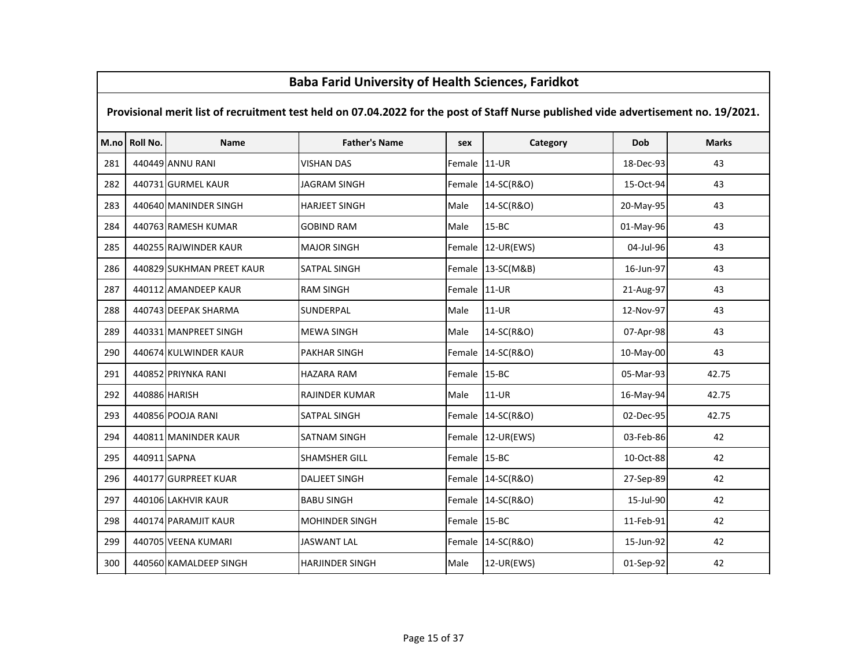#### Provisional merit list of recruitment test held on 07.04.2022 for the post of Staff Nurse published vide advertisement no. 19/2021.

| M.no | <b>Roll No.</b> | <b>Name</b>               | <b>Father's Name</b>   | sex          | Category            | Dob       | <b>Marks</b> |
|------|-----------------|---------------------------|------------------------|--------------|---------------------|-----------|--------------|
| 281  |                 | 440449 ANNU RANI          | <b>VISHAN DAS</b>      | Female 11-UR |                     | 18-Dec-93 | 43           |
| 282  |                 | 440731 GURMEL KAUR        | <b>JAGRAM SINGH</b>    |              | Female   14-SC(R&O) | 15-Oct-94 | 43           |
| 283  |                 | 440640 MANINDER SINGH     | <b>HARJEET SINGH</b>   | Male         | 14-SC(R&O)          | 20-May-95 | 43           |
| 284  |                 | 440763 RAMESH KUMAR       | <b>GOBIND RAM</b>      | Male         | $15 - BC$           | 01-May-96 | 43           |
| 285  |                 | 440255 RAJWINDER KAUR     | <b>MAJOR SINGH</b>     |              | Female 12-UR(EWS)   | 04-Jul-96 | 43           |
| 286  |                 | 440829 SUKHMAN PREET KAUR | <b>SATPAL SINGH</b>    |              | Female 13-SC(M&B)   | 16-Jun-97 | 43           |
| 287  |                 | 440112 AMANDEEP KAUR      | <b>RAM SINGH</b>       | Female 11-UR |                     | 21-Aug-97 | 43           |
| 288  |                 | 440743 DEEPAK SHARMA      | <b>SUNDERPAL</b>       | Male         | $11-UR$             | 12-Nov-97 | 43           |
| 289  |                 | 440331 MANPREET SINGH     | <b>MEWA SINGH</b>      | Male         | 14-SC(R&O)          | 07-Apr-98 | 43           |
| 290  |                 | 440674 KULWINDER KAUR     | <b>PAKHAR SINGH</b>    |              | Female 14-SC(R&O)   | 10-May-00 | 43           |
| 291  |                 | 440852 PRIYNKA RANI       | <b>HAZARA RAM</b>      | Female 15-BC |                     | 05-Mar-93 | 42.75        |
| 292  |                 | 440886 HARISH             | <b>RAJINDER KUMAR</b>  | Male         | $11-UR$             | 16-May-94 | 42.75        |
| 293  |                 | 440856 POOJA RANI         | <b>SATPAL SINGH</b>    |              | Female 14-SC(R&O)   | 02-Dec-95 | 42.75        |
| 294  |                 | 440811 MANINDER KAUR      | <b>SATNAM SINGH</b>    |              | Female 12-UR(EWS)   | 03-Feb-86 | 42           |
| 295  | 440911 SAPNA    |                           | <b>SHAMSHER GILL</b>   | Female 15-BC |                     | 10-Oct-88 | 42           |
| 296  |                 | 440177 GURPREET KUAR      | <b>DALJEET SINGH</b>   |              | Female 14-SC(R&O)   | 27-Sep-89 | 42           |
| 297  |                 | 440106 LAKHVIR KAUR       | <b>BABU SINGH</b>      |              | Female 14-SC(R&O)   | 15-Jul-90 | 42           |
| 298  |                 | 440174 PARAMJIT KAUR      | <b>MOHINDER SINGH</b>  | Female 15-BC |                     | 11-Feb-91 | 42           |
| 299  |                 | 440705 VEENA KUMARI       | <b>JASWANT LAL</b>     |              | Female 14-SC(R&O)   | 15-Jun-92 | 42           |
| 300  |                 | 440560 KAMALDEEP SINGH    | <b>HARJINDER SINGH</b> | Male         | 12-UR(EWS)          | 01-Sep-92 | 42           |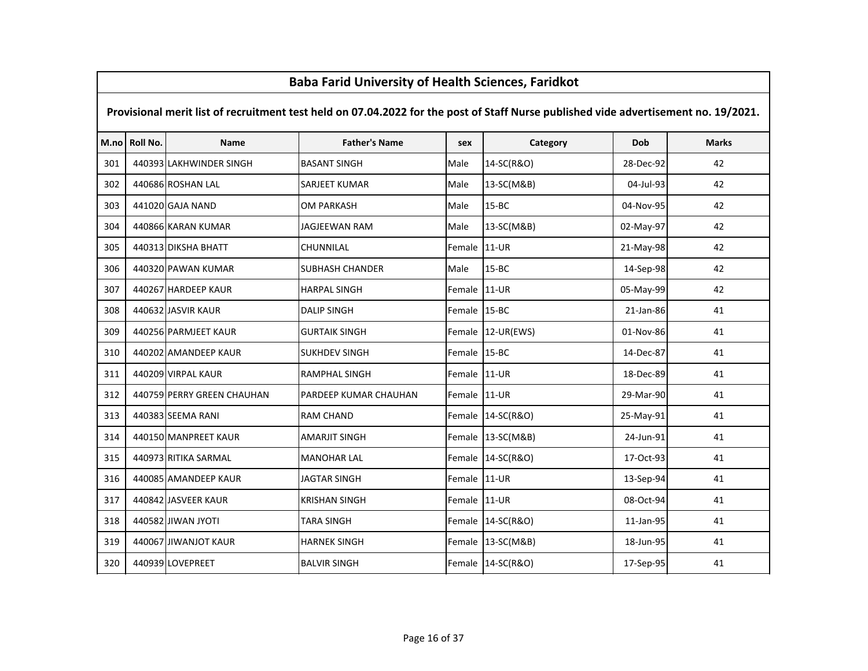# M.no Roll No. Name Father's Name sex Category Dob Marks Provisional merit list of recruitment test held on 07.04.2022 for the post of Staff Nurse published vide advertisement no. 19/2021.301 | 440393 LAKHWINDER SINGH | BASANT SINGH | Male | 14-SC(R&O) | 28-Dec-92 | 42 <sup>302</sup> <sup>440686</sup> ROSHAN LAL SARJEET KUMAR Male 13-SC(M&B) 04-Jul-93 <sup>42</sup><sup>303</sup> <sup>441020</sup> GAJA NAND OM PARKASH Male 15-BC 04-Nov-95 <sup>42</sup><sup>304</sup> <sup>440866</sup> KARAN KUMAR JAGJEEWAN RAM Male 13-SC(M&B) 02-May-97 <sup>42</sup><sup>305</sup> <sup>440313</sup> DIKSHA BHATT CHUNNILAL Female 11-UR 21-May-98 <sup>42</sup><sup>306</sup> <sup>440320</sup> PAWAN KUMAR SUBHASH CHANDER Male 15-BC 14-Sep-98 <sup>42</sup><sup>307</sup> <sup>440267</sup> HARDEEP KAUR HARPAL SINGH Female 11-UR 05-May-99 <sup>42</sup><sup>308</sup> <sup>440632</sup> JASVIR KAUR DALIP SINGH Female 15-BC 21-Jan-86 <sup>41</sup>309 | 440256 PARMJEET KAUR | GURTAIK SINGH | Female 12-UR(EWS) | 01-Nov-86 | 41 <sup>310</sup> <sup>440202</sup> AMANDEEP KAUR SUKHDEV SINGH Female 15-BC 14-Dec-87 <sup>41</sup><sup>311</sup> <sup>440209</sup> VIRPAL KAUR RAMPHAL SINGH Female 11-UR 18-Dec-89 <sup>41</sup>312 | 440759 PERRY GREEN CHAUHAN | PARDEEP KUMAR CHAUHAN | Female 11-UR | 29-Mar-90 | 29-Mar-90 41 <sup>313</sup> <sup>440383</sup> SEEMA RANI RAM CHAND Female 14-SC(R&O) 25-May-91 <sup>41</sup>314 | 440150 MANPREET KAUR | AMARJIT SINGH | Female 13-SC(M&B) | 24-Jun-91 | 41 <sup>315</sup> <sup>440973</sup> RITIKA SARMAL MANOHAR LAL Female 14-SC(R&O) 17-Oct-93 <sup>41</sup><sup>316</sup> <sup>440085</sup> AMANDEEP KAUR JAGTAR SINGH Female 11-UR 13-Sep-94 <sup>41</sup>317 | 440842 JASVEER KAUR | KRISHAN SINGH | Female 11-UR | 08-Oct-94 41 <sup>318</sup> <sup>440582</sup> JIWAN JYOTI TARA SINGH Female 14-SC(R&O) 11-Jan-95 <sup>41</sup>319 | 440067 JIWANJOT KAUR | HARNEK SINGH | Female 13-SC(M&B) | 18-Jun-95 | 18-Jun-95 | 41 <sup>320</sup> <sup>440939</sup> LOVEPREET BALVIR SINGH Female 14-SC(R&O) 17-Sep-95 <sup>41</sup>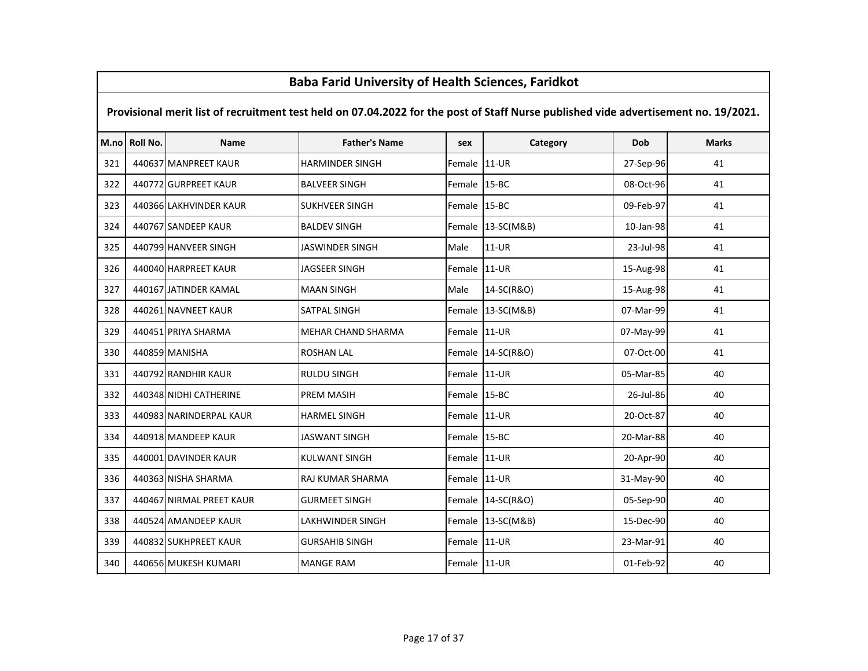|     | <u>Baba Fariu Olliversity of Health Sciences, Fariukot</u>                                                                          |                          |                           |              |                   |           |              |  |  |  |  |
|-----|-------------------------------------------------------------------------------------------------------------------------------------|--------------------------|---------------------------|--------------|-------------------|-----------|--------------|--|--|--|--|
|     | Provisional merit list of recruitment test held on 07.04.2022 for the post of Staff Nurse published vide advertisement no. 19/2021. |                          |                           |              |                   |           |              |  |  |  |  |
|     | M.no Roll No.                                                                                                                       | Name                     | <b>Father's Name</b>      | sex          | Category          | Dob       | <b>Marks</b> |  |  |  |  |
| 321 |                                                                                                                                     | 440637 MANPREET KAUR     | HARMINDER SINGH           | Female 11-UR |                   | 27-Sep-96 | 41           |  |  |  |  |
| 322 |                                                                                                                                     | 440772 GURPREET KAUR     | <b>BALVEER SINGH</b>      | Female 15-BC |                   | 08-Oct-96 | 41           |  |  |  |  |
| 323 |                                                                                                                                     | 440366 LAKHVINDER KAUR   | <b>SUKHVEER SINGH</b>     | Female 15-BC |                   | 09-Feb-97 | 41           |  |  |  |  |
| 324 |                                                                                                                                     | 440767 SANDEEP KAUR      | <b>BALDEV SINGH</b>       |              | Female 13-SC(M&B) | 10-Jan-98 | 41           |  |  |  |  |
| 325 |                                                                                                                                     | 440799 HANVEER SINGH     | JASWINDER SINGH           | Male         | 11-UR             | 23-Jul-98 | 41           |  |  |  |  |
| 326 |                                                                                                                                     | 440040 HARPREET KAUR     | <b>JAGSEER SINGH</b>      | Female       | $11-UR$           | 15-Aug-98 | 41           |  |  |  |  |
| 327 |                                                                                                                                     | 440167 JATINDER KAMAL    | <b>MAAN SINGH</b>         | Male         | 14-SC(R&O)        | 15-Aug-98 | 41           |  |  |  |  |
| 328 |                                                                                                                                     | 440261 NAVNEET KAUR      | SATPAL SINGH              | Female       | 13-SC(M&B)        | 07-Mar-99 | 41           |  |  |  |  |
| 329 |                                                                                                                                     | 440451 PRIYA SHARMA      | <b>MEHAR CHAND SHARMA</b> | Female 11-UR |                   | 07-May-99 | 41           |  |  |  |  |
| 330 |                                                                                                                                     | 440859 MANISHA           | <b>ROSHAN LAL</b>         |              | Female 14-SC(R&O) | 07-Oct-00 | 41           |  |  |  |  |
| 331 |                                                                                                                                     | 440792 RANDHIR KAUR      | <b>RULDU SINGH</b>        | Female 11-UR |                   | 05-Mar-85 | 40           |  |  |  |  |
| 332 |                                                                                                                                     | 440348 NIDHI CATHERINE   | <b>PREM MASIH</b>         | Female 15-BC |                   | 26-Jul-86 | 40           |  |  |  |  |
| 333 |                                                                                                                                     | 440983 NARINDERPAL KAUR  | <b>HARMEL SINGH</b>       | Female 11-UR |                   | 20-Oct-87 | 40           |  |  |  |  |
| 334 |                                                                                                                                     | 440918 MANDEEP KAUR      | <b>JASWANT SINGH</b>      | Female 15-BC |                   | 20-Mar-88 | 40           |  |  |  |  |
| 335 |                                                                                                                                     | 440001 DAVINDER KAUR     | KULWANT SINGH             | Female 11-UR |                   | 20-Apr-90 | 40           |  |  |  |  |
| 336 |                                                                                                                                     | 440363 NISHA SHARMA      | RAJ KUMAR SHARMA          | Female 11-UR |                   | 31-May-90 | 40           |  |  |  |  |
| 337 |                                                                                                                                     | 440467 NIRMAL PREET KAUR | <b>GURMEET SINGH</b>      |              | Female 14-SC(R&O) | 05-Sep-90 | 40           |  |  |  |  |
| 338 |                                                                                                                                     | 440524 AMANDEEP KAUR     | LAKHWINDER SINGH          |              | Female 13-SC(M&B) | 15-Dec-90 | 40           |  |  |  |  |
| 339 |                                                                                                                                     | 440832 SUKHPREET KAUR    | <b>GURSAHIB SINGH</b>     | Female 11-UR |                   | 23-Mar-91 | 40           |  |  |  |  |
| 340 |                                                                                                                                     | 440656 MUKESH KUMARI     | <b>MANGE RAM</b>          | Female 11-UR |                   | 01-Feb-92 | 40           |  |  |  |  |

 $\mathsf{r}$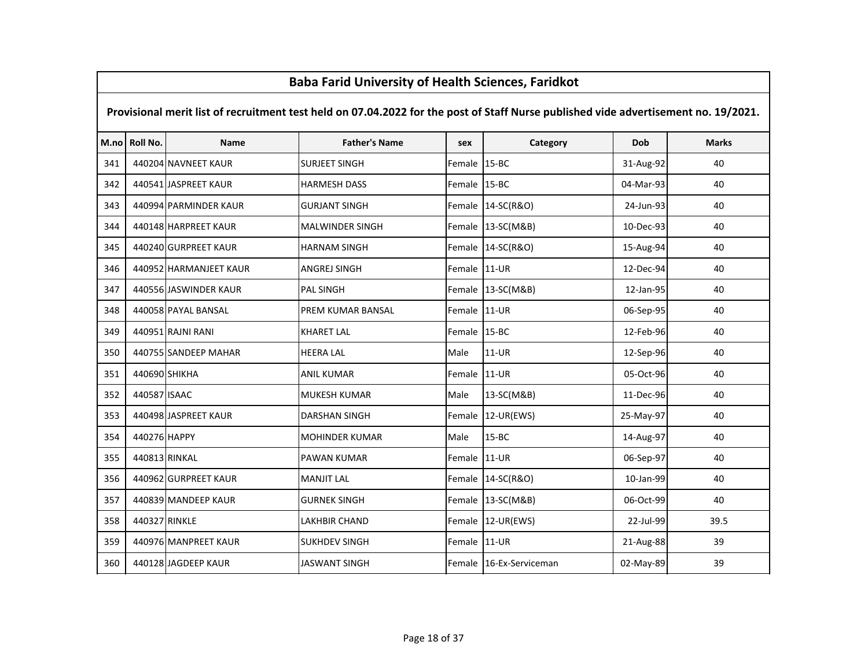|      | <b>Baba Farid University of Health Sciences, Faridkot</b>                                                                           |                        |                        |              |                         |           |              |  |  |  |
|------|-------------------------------------------------------------------------------------------------------------------------------------|------------------------|------------------------|--------------|-------------------------|-----------|--------------|--|--|--|
|      | Provisional merit list of recruitment test held on 07.04.2022 for the post of Staff Nurse published vide advertisement no. 19/2021. |                        |                        |              |                         |           |              |  |  |  |
| M.no | Roll No.                                                                                                                            | <b>Name</b>            | <b>Father's Name</b>   | sex          | Category                | Dob       | <b>Marks</b> |  |  |  |
| 341  |                                                                                                                                     | 440204 NAVNEET KAUR    | <b>SURJEET SINGH</b>   | Female       | $15 - BC$               | 31-Aug-92 | 40           |  |  |  |
| 342  |                                                                                                                                     | 440541 JASPREET KAUR   | <b>HARMESH DASS</b>    | Female 15-BC |                         | 04-Mar-93 | 40           |  |  |  |
| 343  |                                                                                                                                     | 440994 PARMINDER KAUR  | <b>GURJANT SINGH</b>   |              | Female 14-SC(R&O)       | 24-Jun-93 | 40           |  |  |  |
| 344  |                                                                                                                                     | 440148 HARPREET KAUR   | <b>MALWINDER SINGH</b> |              | Female 13-SC(M&B)       | 10-Dec-93 | 40           |  |  |  |
| 345  |                                                                                                                                     | 440240 GURPREET KAUR   | <b>HARNAM SINGH</b>    |              | Female 14-SC(R&O)       | 15-Aug-94 | 40           |  |  |  |
| 346  |                                                                                                                                     | 440952 HARMANJEET KAUR | <b>ANGREJ SINGH</b>    | Female       | $11-UR$                 | 12-Dec-94 | 40           |  |  |  |
| 347  |                                                                                                                                     | 440556 JASWINDER KAUR  | <b>PAL SINGH</b>       |              | Female 13-SC(M&B)       | 12-Jan-95 | 40           |  |  |  |
| 348  |                                                                                                                                     | 440058 PAYAL BANSAL    | PREM KUMAR BANSAL      | Female 11-UR |                         | 06-Sep-95 | 40           |  |  |  |
| 349  |                                                                                                                                     | 440951 RAJNI RANI      | <b>KHARET LAL</b>      | Female 15-BC |                         | 12-Feb-96 | 40           |  |  |  |
| 350  |                                                                                                                                     | 440755 SANDEEP MAHAR   | <b>HEERA LAL</b>       | Male         | $11-UR$                 | 12-Sep-96 | 40           |  |  |  |
| 351  | 440690 SHIKHA                                                                                                                       |                        | <b>ANIL KUMAR</b>      | Female       | 11-UR                   | 05-Oct-96 | 40           |  |  |  |
| 352  | 440587 ISAAC                                                                                                                        |                        | MUKESH KUMAR           | Male         | 13-SC(M&B)              | 11-Dec-96 | 40           |  |  |  |
| 353  |                                                                                                                                     | 440498 JASPREET KAUR   | DARSHAN SINGH          | Female       | 12-UR(EWS)              | 25-May-97 | 40           |  |  |  |
| 354  | 440276 HAPPY                                                                                                                        |                        | <b>MOHINDER KUMAR</b>  | Male         | $15 - BC$               | 14-Aug-97 | 40           |  |  |  |
| 355  | 440813 RINKAL                                                                                                                       |                        | <b>PAWAN KUMAR</b>     | Female       | $11-UR$                 | 06-Sep-97 | 40           |  |  |  |
| 356  |                                                                                                                                     | 440962 GURPREET KAUR   | <b>MANJIT LAL</b>      | Female       | 14-SC(R&O)              | 10-Jan-99 | 40           |  |  |  |
| 357  |                                                                                                                                     | 440839 MANDEEP KAUR    | <b>GURNEK SINGH</b>    |              | Female 13-SC(M&B)       | 06-Oct-99 | 40           |  |  |  |
| 358  | 440327 RINKLE                                                                                                                       |                        | LAKHBIR CHAND          | Female       | 12-UR(EWS)              | 22-Jul-99 | 39.5         |  |  |  |
| 359  |                                                                                                                                     | 440976 MANPREET KAUR   | <b>SUKHDEV SINGH</b>   | Female       | $11-UR$                 | 21-Aug-88 | 39           |  |  |  |
| 360  |                                                                                                                                     | 440128 JAGDEEP KAUR    | JASWANT SINGH          |              | Female 16-Ex-Serviceman | 02-May-89 | 39           |  |  |  |

Г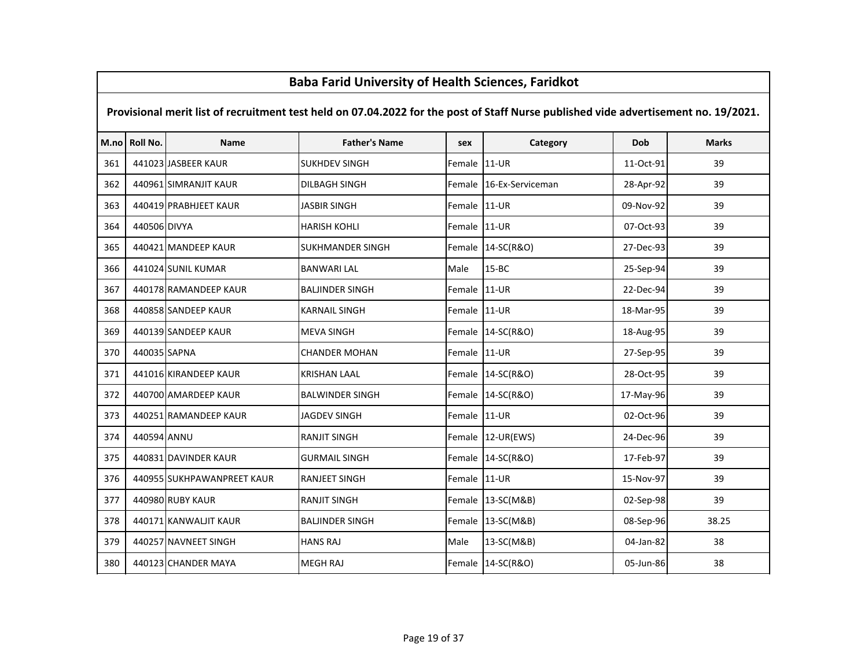# M.no Roll No. Name Father's Name sex Category Dob Marks Provisional merit list of recruitment test held on 07.04.2022 for the post of Staff Nurse published vide advertisement no. 19/2021.361 | 441023 JASBEER KAUR | SUKHDEV SINGH | Female 11-UR | 11-Oct-91 | 11-Oct-91 39 <sup>362</sup> <sup>440961</sup> SIMRANJIT KAUR DILBAGH SINGH Female 16-Ex-Serviceman 28-Apr-92 <sup>39</sup><sup>363</sup> <sup>440419</sup> PRABHJEET KAUR JASBIR SINGH Female 11-UR 09-Nov-92 <sup>39</sup><sup>364</sup> <sup>440506</sup> DIVYA HARISH KOHLI Female 11-UR 07-Oct-93 <sup>39</sup>365 | 440421 MANDEEP KAUR | SUKHMANDER SINGH | Female 14-SC(R&O) | 27-Dec-93 | 39 <sup>366</sup> <sup>441024</sup> SUNIL KUMAR BANWARI LAL Male 15-BC 25-Sep-94 <sup>39</sup><sup>367</sup> <sup>440178</sup> RAMANDEEP KAUR BALJINDER SINGH Female 11-UR 22-Dec-94 <sup>39</sup><sup>368</sup> <sup>440858</sup> SANDEEP KAUR KARNAIL SINGH Female 11-UR 18-Mar-95 <sup>39</sup><sup>369</sup> <sup>440139</sup> SANDEEP KAUR MEVA SINGH Female 14-SC(R&O) 18-Aug-95 <sup>39</sup><sup>370</sup> <sup>440035</sup> SAPNA CHANDER MOHAN Female 11-UR 27-Sep-95 <sup>39</sup>371 | 441016 KIRANDEEP KAUR | KRISHAN LAAL | Female 14-SC(R&O) | 28-Oct-95 | 39 372 | 440700 AMARDEEP KAUR | BALWINDER SINGH | Female 14-SC(R&O) | 17-May-96 | 39 373 | 440251 RAMANDEEP KAUR | JAGDEV SINGH | Female 11-UR | 02-Oct-96 | 39 <sup>374</sup> <sup>440594</sup> ANNU RANJIT SINGH Female 12-UR(EWS) 24-Dec-96 <sup>39</sup><sup>375</sup> <sup>440831</sup> DAVINDER KAUR GURMAIL SINGH Female 14-SC(R&O) 17-Feb-97 <sup>39</sup>376 | 440955 SUKHPAWANPREET KAUR | RANJEET SINGH | Female 11-UR | 15-Nov-97 | 39 <sup>377</sup> <sup>440980</sup> RUBY KAUR RANJIT SINGH Female 13-SC(M&B) 02-Sep-98 <sup>39</sup><sup>378</sup> <sup>440171</sup> KANWALJIT KAUR BALJINDER SINGH Female 13-SC(M&B) 08-Sep-96 38.25<sup>379</sup> <sup>440257</sup> NAVNEET SINGH HANS RAJ Male 13-SC(M&B) 04-Jan-82 <sup>38</sup>380 | 440123 CHANDER MAYA MEGH RAJ NEGH RAJ REMANIFEMBLE 24-SC(R&O) NAJIRA 251 UNIVERSITY OF-Jun-86 28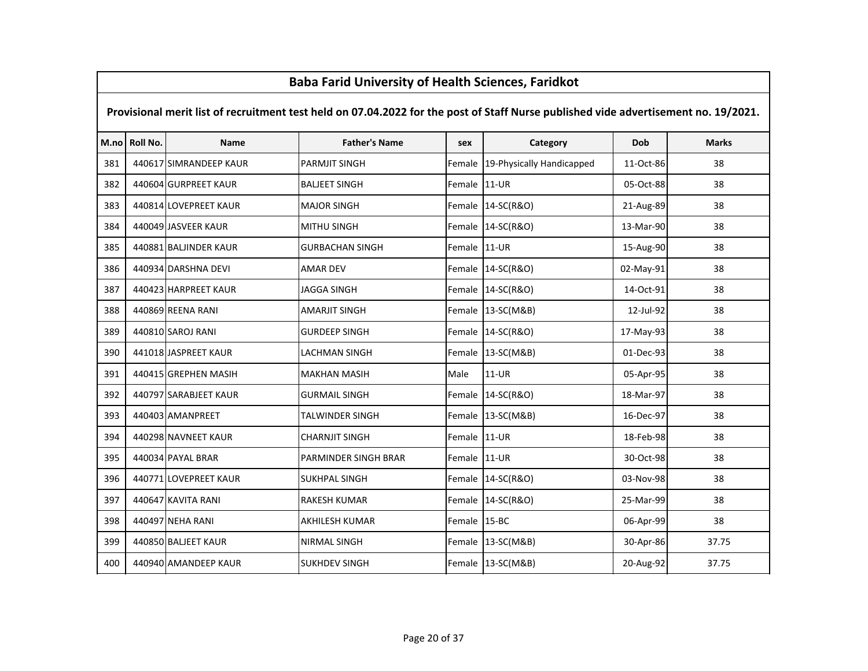# M.no Roll No. Name Father's Name sex Category Dob Marks Provisional merit list of recruitment test held on 07.04.2022 for the post of Staff Nurse published vide advertisement no. 19/2021.<sup>381</sup> <sup>440617</sup> SIMRANDEEP KAUR PARMJIT SINGH Female 19-Physically Handicapped 11-Oct-86 <sup>38</sup><sup>382</sup> <sup>440604</sup> GURPREET KAUR BALJEET SINGH Female 11-UR 05-Oct-88 <sup>38</sup>383 | 440814 LOVEPREET KAUR | MAJOR SINGH | Female 14-SC(R&O) | 21-Aug-89 | 38 <sup>384</sup> <sup>440049</sup> JASVEER KAUR MITHU SINGH Female 14-SC(R&O) 13-Mar-90 <sup>38</sup>385 | 440881 BALJINDER KAUR GURBACHAN SINGH Female 11-UR 15-Aug-90 38 <sup>386</sup> <sup>440934</sup> DARSHNA DEVI AMAR DEV Female 14-SC(R&O) 02-May-91 <sup>38</sup><sup>387</sup> <sup>440423</sup> HARPREET KAUR JAGGA SINGH Female 14-SC(R&O) 14-Oct-91 <sup>38</sup><sup>388</sup> <sup>440869</sup> REENA RANI AMARJIT SINGH Female 13-SC(M&B) 12-Jul-92 <sup>38</sup>389 | 440810 SAROJ RANI GURDEEP SINGH Female 14-SC(R&O) 17-May-93 38 <sup>390</sup> <sup>441018</sup> JASPREET KAUR LACHMAN SINGH Female 13-SC(M&B) 01-Dec-93 <sup>38</sup>391 | 440415 GREPHEN MASIH | MAKHAN MASIH | Male | 11-UR | 05-Apr-95 | 38 392 | 440797 SARABJEET KAUR | GURMAIL SINGH | Female 14-SC(R&O) | 18-Mar-97 | 38 <sup>393</sup> <sup>440403</sup> AMANPREET TALWINDER SINGH Female 13-SC(M&B) 16-Dec-97 <sup>38</sup><sup>394</sup> <sup>440298</sup> NAVNEET KAUR CHARNJIT SINGH Female 11-UR 18-Feb-98 <sup>38</sup><sup>395</sup> <sup>440034</sup> PAYAL BRAR PARMINDER SINGH BRAR Female 11-UR 30-Oct-98 <sup>38</sup>396 | 440771 LOVEPREET KAUR | SUKHPAL SINGH | Female 14-SC(R&O) | 33-Nov-98 | 38 <sup>397</sup> <sup>440647</sup> KAVITA RANI RAKESH KUMAR Female 14-SC(R&O) 25-Mar-99 <sup>38</sup><sup>398</sup> <sup>440497</sup> NEHA RANI AKHILESH KUMAR Female 15-BC 06-Apr-99 <sup>38</sup><sup>399</sup> <sup>440850</sup> BALJEET KAUR NIRMAL SINGH Female 13-SC(M&B) 30-Apr-86 37.75<sup>400</sup> <sup>440940</sup> AMANDEEP KAUR SUKHDEV SINGH Female 13-SC(M&B) 20-Aug-92 37.75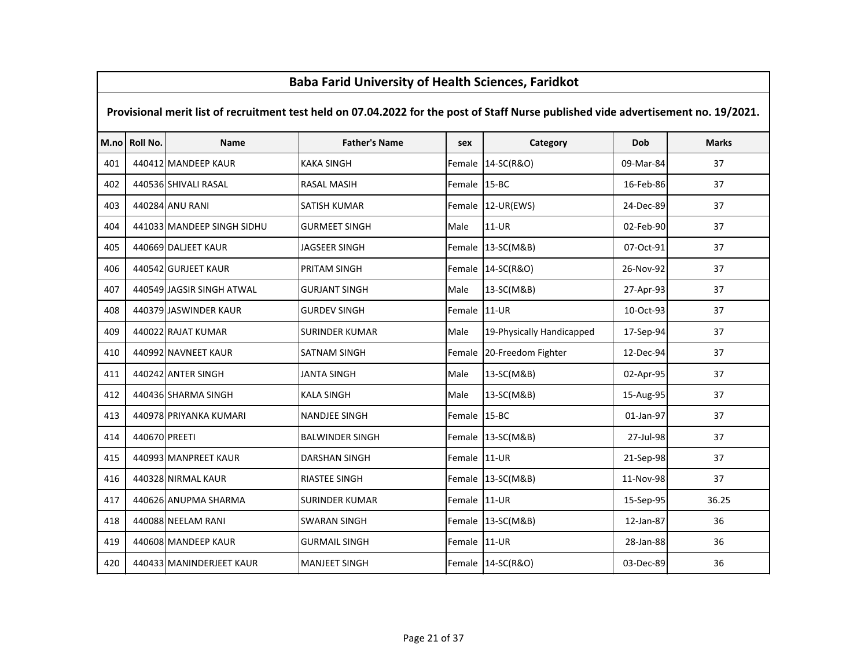|     | <u>Baba Fariu Offiversity of Health Sciences, Fariunot</u>                                                                          |                            |                        |              |                           |           |              |  |  |  |  |
|-----|-------------------------------------------------------------------------------------------------------------------------------------|----------------------------|------------------------|--------------|---------------------------|-----------|--------------|--|--|--|--|
|     | Provisional merit list of recruitment test held on 07.04.2022 for the post of Staff Nurse published vide advertisement no. 19/2021. |                            |                        |              |                           |           |              |  |  |  |  |
|     | M.no Roll No.                                                                                                                       | Name                       | <b>Father's Name</b>   | sex          | Category                  | Dob       | <b>Marks</b> |  |  |  |  |
| 401 |                                                                                                                                     | 440412 MANDEEP KAUR        | <b>KAKA SINGH</b>      | Female       | 14-SC(R&O)                | 09-Mar-84 | 37           |  |  |  |  |
| 402 |                                                                                                                                     | 440536 SHIVALI RASAL       | <b>RASAL MASIH</b>     | Female 15-BC |                           | 16-Feb-86 | 37           |  |  |  |  |
| 403 |                                                                                                                                     | 440284 ANU RANI            | SATISH KUMAR           | Female       | $12$ -UR(EWS)             | 24-Dec-89 | 37           |  |  |  |  |
| 404 |                                                                                                                                     | 441033 MANDEEP SINGH SIDHU | <b>GURMEET SINGH</b>   | Male         | $11-UR$                   | 02-Feb-90 | 37           |  |  |  |  |
| 405 |                                                                                                                                     | 440669 DALJEET KAUR        | JAGSEER SINGH          | Female       | 13-SC(M&B)                | 07-Oct-91 | 37           |  |  |  |  |
| 406 |                                                                                                                                     | 440542 GURJEET KAUR        | PRITAM SINGH           | Female       | 14-SC(R&O)                | 26-Nov-92 | 37           |  |  |  |  |
| 407 |                                                                                                                                     | 440549 JAGSIR SINGH ATWAL  | <b>GURJANT SINGH</b>   | Male         | 13-SC(M&B)                | 27-Apr-93 | 37           |  |  |  |  |
| 408 |                                                                                                                                     | 440379 JASWINDER KAUR      | <b>GURDEV SINGH</b>    | Female       | $11-UR$                   | 10-Oct-93 | 37           |  |  |  |  |
| 409 |                                                                                                                                     | 440022 RAJAT KUMAR         | SURINDER KUMAR         | Male         | 19-Physically Handicapped | 17-Sep-94 | 37           |  |  |  |  |
| 410 |                                                                                                                                     | 440992 NAVNEET KAUR        | SATNAM SINGH           | Female       | 20-Freedom Fighter        | 12-Dec-94 | 37           |  |  |  |  |
| 411 |                                                                                                                                     | 440242 ANTER SINGH         | <b>JANTA SINGH</b>     | Male         | 13-SC(M&B)                | 02-Apr-95 | 37           |  |  |  |  |
| 412 |                                                                                                                                     | 440436 SHARMA SINGH        | <b>KALA SINGH</b>      | Male         | 13-SC(M&B)                | 15-Aug-95 | 37           |  |  |  |  |
| 413 |                                                                                                                                     | 440978 PRIYANKA KUMARI     | <b>NANDJEE SINGH</b>   | Female 15-BC |                           | 01-Jan-97 | 37           |  |  |  |  |
| 414 | 440670 PREETI                                                                                                                       |                            | <b>BALWINDER SINGH</b> |              | Female 13-SC(M&B)         | 27-Jul-98 | 37           |  |  |  |  |
| 415 |                                                                                                                                     | 440993 MANPREET KAUR       | DARSHAN SINGH          | Female 11-UR |                           | 21-Sep-98 | 37           |  |  |  |  |
| 416 |                                                                                                                                     | 440328 NIRMAL KAUR         | <b>RIASTEE SINGH</b>   |              | Female 13-SC(M&B)         | 11-Nov-98 | 37           |  |  |  |  |
| 417 |                                                                                                                                     | 440626 ANUPMA SHARMA       | <b>SURINDER KUMAR</b>  | Female 11-UR |                           | 15-Sep-95 | 36.25        |  |  |  |  |
| 418 |                                                                                                                                     | 440088 NEELAM RANI         | <b>SWARAN SINGH</b>    |              | Female 13-SC(M&B)         | 12-Jan-87 | 36           |  |  |  |  |
| 419 |                                                                                                                                     | 440608 MANDEEP KAUR        | <b>GURMAIL SINGH</b>   | Female       | $11-UR$                   | 28-Jan-88 | 36           |  |  |  |  |
| 420 |                                                                                                                                     | 440433 MANINDERJEET KAUR   | <b>MANJEET SINGH</b>   |              | Female 14-SC(R&O)         | 03-Dec-89 | 36           |  |  |  |  |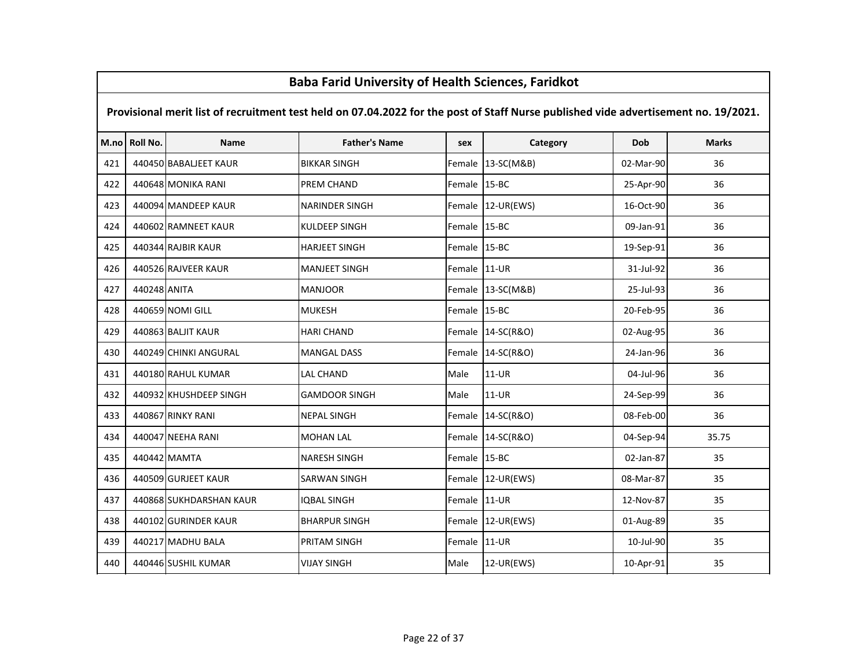# M.no Roll No. Name Father's Name sex Category Dob Marks Provisional merit list of recruitment test held on 07.04.2022 for the post of Staff Nurse published vide advertisement no. 19/2021. <sup>440450</sup> BABALJEET KAUR BIKKAR SINGH Female 13-SC(M&B) 02-Mar-90 <sup>36</sup> <sup>440648</sup> MONIKA RANI PREM CHAND Female 15-BC 25-Apr-90 <sup>36</sup>423 | 440094 MANDEEP KAUR | NARINDER SINGH | Female 12-UR(EWS) | 16-Oct-90 | 36 <sup>440602</sup> RAMNEET KAUR KULDEEP SINGH Female 15-BC 09-Jan-91 <sup>36</sup> <sup>440344</sup> RAJBIR KAUR HARJEET SINGH Female 15-BC 19-Sep-91 <sup>36</sup> <sup>440526</sup> RAJVEER KAUR MANJEET SINGH Female 11-UR 31-Jul-92 <sup>36</sup> <sup>440248</sup> ANITA MANJOOR Female 13-SC(M&B) 25-Jul-93 <sup>36</sup> <sup>440659</sup> NOMI GILL MUKESH Female 15-BC 20-Feb-95 <sup>36</sup> <sup>440863</sup> BALJIT KAUR HARI CHAND Female 14-SC(R&O) 02-Aug-95 <sup>36</sup> <sup>440249</sup> CHINKI ANGURAL MANGAL DASS Female 14-SC(R&O) 24-Jan-96 <sup>36</sup> <sup>440180</sup> RAHUL KUMAR LAL CHAND Male 11-UR 04-Jul-96 <sup>36</sup>432 | 440932 KHUSHDEEP SINGH | GAMDOOR SINGH | Male | 11-UR | 24-Sep-99 | 36 <sup>440867</sup> RINKY RANI NEPAL SINGH Female 14-SC(R&O) 08-Feb-00 <sup>36</sup> <sup>440047</sup> NEEHA RANI MOHAN LAL Female 14-SC(R&O) 04-Sep-94 35.75 <sup>440442</sup> MAMTA NARESH SINGH Female 15-BC 02-Jan-87 <sup>35</sup>436 | 440509 GURJEET KAUR | SARWAN SINGH | SARWAN SINGH | Female 12-UR(EWS) | 08-Mar-87 | 35 <sup>440868</sup> SUKHDARSHAN KAUR IQBAL SINGH Female 11-UR 12-Nov-87 <sup>35</sup> <sup>440102</sup> GURINDER KAUR BHARPUR SINGH Female 12-UR(EWS) 01-Aug-89 <sup>35</sup> <sup>440217</sup> MADHU BALA PRITAM SINGH Female 11-UR 10-Jul-90 <sup>35</sup>440 | 440446 SUSHIL KUMAR | VIJAY SINGH | Male | 12-UR(EWS) | 10-Apr-91 | 35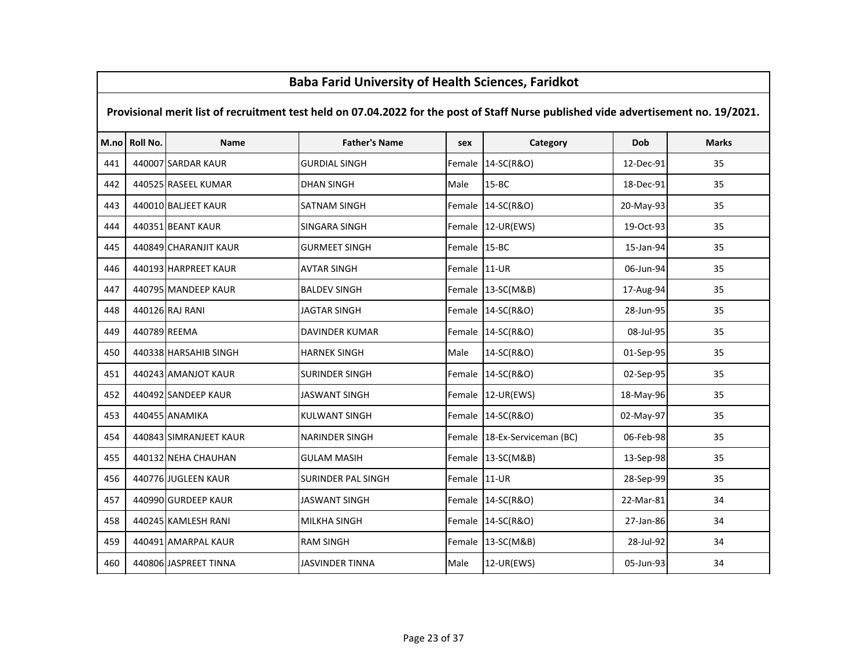# M.no Roll No. Name Father's Name sex Category Dob Marks Provisional merit list of recruitment test held on 07.04.2022 for the post of Staff Nurse published vide advertisement no. 19/2021.<sup>441</sup> <sup>440007</sup> SARDAR KAUR GURDIAL SINGH Female 14-SC(R&O) 12-Dec-91 <sup>35</sup><sup>442</sup> <sup>440525</sup> RASEEL KUMAR DHAN SINGH Male 15-BC 18-Dec-91 <sup>35</sup><sup>443</sup> <sup>440010</sup> BALJEET KAUR SATNAM SINGH Female 14-SC(R&O) 20-May-93 <sup>35</sup><sup>444</sup> <sup>440351</sup> BEANT KAUR SINGARA SINGH Female 12-UR(EWS) 19-Oct-93 <sup>35</sup>445 | 440849 CHARANJIT KAUR | GURMEET SINGH | Female 15-BC | 15-Jan-94 | 15-Jan-94 35 <sup>446</sup> <sup>440193</sup> HARPREET KAUR AVTAR SINGH Female 11-UR 06-Jun-94 <sup>35</sup>447 | 440795 MANDEEP KAUR | BALDEV SINGH | Female 13-SC(M&B) | 17-Aug-94 | 35 <sup>448</sup> <sup>440126</sup> RAJ RANI JAGTAR SINGH Female 14-SC(R&O) 28-Jun-95 <sup>35</sup><sup>449</sup> <sup>440789</sup> REEMA DAVINDER KUMAR Female 14-SC(R&O) 08-Jul-95 <sup>35</sup><sup>450</sup> <sup>440338</sup> HARSAHIB SINGH HARNEK SINGH Male 14-SC(R&O) 01-Sep-95 <sup>35</sup>451 | 440243 AMANJOT KAUR | SURINDER SINGH | Female 14-SC(R&O) | 02-Sep-95 | 35 452 | 440492 SANDEEP KAUR | JASWANT SINGH | Female 12-UR(EWS) | 18-May-96 | 35 <sup>453</sup> <sup>440455</sup> ANAMIKA KULWANT SINGH Female 14-SC(R&O) 02-May-97 <sup>35</sup>454 | 440843 SIMRANJEET KAUR | NARINDER SINGH | Female 18-Ex-Serviceman (BC) | 06-Feb-98 35 <sup>455</sup> <sup>440132</sup> NEHA CHAUHAN GULAM MASIH Female 13-SC(M&B) 13-Sep-98 <sup>35</sup>456 | 440776 JUGLEEN KAUR | SURINDER PAL SINGH | Female 11-UR | 28-Sep-99 | 35 457 | 440990 GURDEEP KAUR | JASWANT SINGH | Female 14-SC(R&O) | 22-Mar-81 | 34 <sup>458</sup> <sup>440245</sup> KAMLESH RANI MILKHA SINGH Female 14-SC(R&O) 27-Jan-86 <sup>34</sup><sup>459</sup> <sup>440491</sup> AMARPAL KAUR RAM SINGH Female 13-SC(M&B) 28-Jul-92 <sup>34</sup>460 | 440806 JASPREET TINNA | JASVINDER TINNA | Male | 12-UR(EWS) | 05-Jun-93 | 34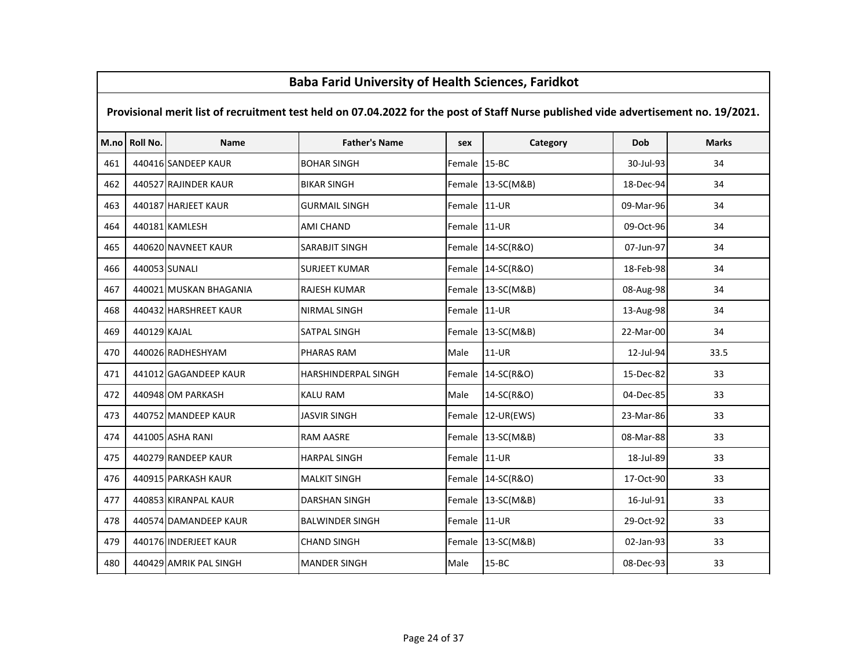|     | <u>Baba Fariu Olliversity of Health Sciences, Fariukot</u>                                                                          |                        |                        |              |                   |           |              |  |  |  |  |
|-----|-------------------------------------------------------------------------------------------------------------------------------------|------------------------|------------------------|--------------|-------------------|-----------|--------------|--|--|--|--|
|     | Provisional merit list of recruitment test held on 07.04.2022 for the post of Staff Nurse published vide advertisement no. 19/2021. |                        |                        |              |                   |           |              |  |  |  |  |
|     | M.no Roll No.                                                                                                                       | <b>Name</b>            | <b>Father's Name</b>   | sex          | Category          | Dob       | <b>Marks</b> |  |  |  |  |
| 461 |                                                                                                                                     | 440416 SANDEEP KAUR    | <b>BOHAR SINGH</b>     | Female 15-BC |                   | 30-Jul-93 | 34           |  |  |  |  |
| 462 |                                                                                                                                     | 440527 RAJINDER KAUR   | <b>BIKAR SINGH</b>     |              | Female 13-SC(M&B) | 18-Dec-94 | 34           |  |  |  |  |
| 463 |                                                                                                                                     | 440187 HARJEET KAUR    | <b>GURMAIL SINGH</b>   | Female       | $11-UR$           | 09-Mar-96 | 34           |  |  |  |  |
| 464 |                                                                                                                                     | 440181 KAMLESH         | <b>AMI CHAND</b>       | Female       | $11-UR$           | 09-Oct-96 | 34           |  |  |  |  |
| 465 |                                                                                                                                     | 440620 NAVNEET KAUR    | <b>SARABJIT SINGH</b>  | Female       | 14-SC(R&O)        | 07-Jun-97 | 34           |  |  |  |  |
| 466 | 440053 SUNALI                                                                                                                       |                        | <b>SURJEET KUMAR</b>   |              | Female 14-SC(R&O) | 18-Feb-98 | 34           |  |  |  |  |
| 467 |                                                                                                                                     | 440021 MUSKAN BHAGANIA | <b>RAJESH KUMAR</b>    |              | Female 13-SC(M&B) | 08-Aug-98 | 34           |  |  |  |  |
| 468 |                                                                                                                                     | 440432 HARSHREET KAUR  | <b>NIRMAL SINGH</b>    | Female       | $11-UR$           | 13-Aug-98 | 34           |  |  |  |  |
| 469 | 440129 KAJAL                                                                                                                        |                        | <b>SATPAL SINGH</b>    | Female       | 13-SC(M&B)        | 22-Mar-00 | 34           |  |  |  |  |
| 470 |                                                                                                                                     | 440026 RADHESHYAM      | <b>PHARAS RAM</b>      | Male         | 11-UR             | 12-Jul-94 | 33.5         |  |  |  |  |
| 471 |                                                                                                                                     | 441012 GAGANDEEP KAUR  | HARSHINDERPAL SINGH    | Female       | 14-SC(R&O)        | 15-Dec-82 | 33           |  |  |  |  |
| 472 |                                                                                                                                     | 440948 OM PARKASH      | <b>KALU RAM</b>        | Male         | 14-SC(R&O)        | 04-Dec-85 | 33           |  |  |  |  |
| 473 |                                                                                                                                     | 440752 MANDEEP KAUR    | <b>JASVIR SINGH</b>    | Female       | 12-UR(EWS)        | 23-Mar-86 | 33           |  |  |  |  |
| 474 |                                                                                                                                     | 441005 ASHA RANI       | <b>RAM AASRE</b>       | Female       | 13-SC(M&B)        | 08-Mar-88 | 33           |  |  |  |  |
| 475 |                                                                                                                                     | 440279 RANDEEP KAUR    | HARPAL SINGH           | Female       | 11-UR             | 18-Jul-89 | 33           |  |  |  |  |
| 476 |                                                                                                                                     | 440915 PARKASH KAUR    | <b>MALKIT SINGH</b>    |              | Female 14-SC(R&O) | 17-Oct-90 | 33           |  |  |  |  |
| 477 |                                                                                                                                     | 440853 KIRANPAL KAUR   | <b>DARSHAN SINGH</b>   | Female       | 13-SC(M&B)        | 16-Jul-91 | 33           |  |  |  |  |
| 478 |                                                                                                                                     | 440574 DAMANDEEP KAUR  | <b>BALWINDER SINGH</b> | Female 11-UR |                   | 29-Oct-92 | 33           |  |  |  |  |
| 479 |                                                                                                                                     | 440176 INDERJEET KAUR  | <b>CHAND SINGH</b>     |              | Female 13-SC(M&B) | 02-Jan-93 | 33           |  |  |  |  |
| 480 |                                                                                                                                     | 440429 AMRIK PAL SINGH | <b>MANDER SINGH</b>    | Male         | $15 - BC$         | 08-Dec-93 | 33           |  |  |  |  |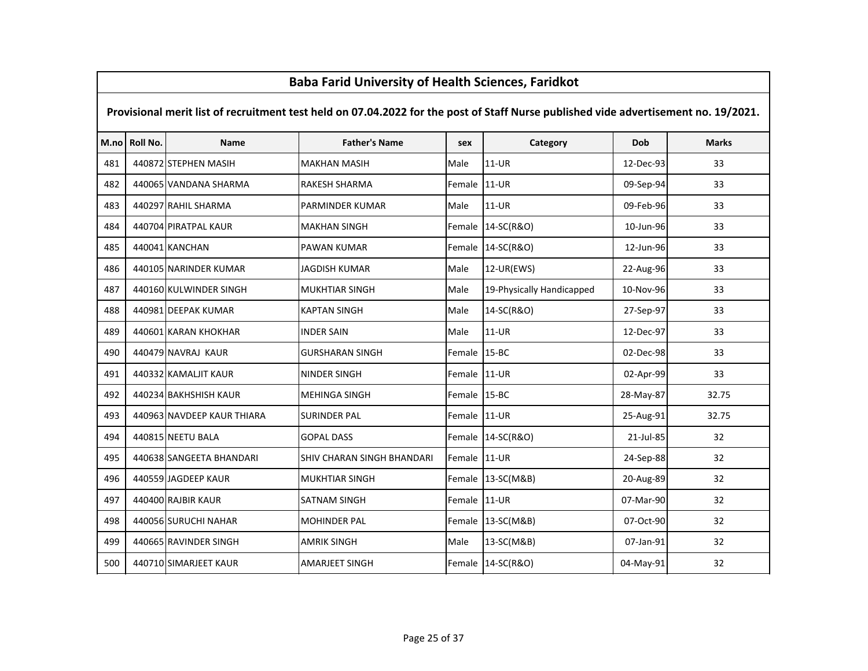# M.no Roll No. Name Father's Name sex Category Dob Marks Provisional merit list of recruitment test held on 07.04.2022 for the post of Staff Nurse published vide advertisement no. 19/2021.481 | 440872 STEPHEN MASIH MAKHAN MASIH MAGIH MARI MALE | 11-UR 12-Dec-93 | 33 482 | 440065 VANDANA SHARMA | RAKESH SHARMA | Female 11-UR | 09-Sep-94 33 <sup>483</sup> <sup>440297</sup> RAHIL SHARMA PARMINDER KUMAR Male 11-UR 09-Feb-96 <sup>33</sup><sup>484</sup> <sup>440704</sup> PIRATPAL KAUR MAKHAN SINGH Female 14-SC(R&O) 10-Jun-96 <sup>33</sup><sup>485</sup> <sup>440041</sup> KANCHAN PAWAN KUMAR Female 14-SC(R&O) 12-Jun-96 <sup>33</sup>486 | 440105 | NARINDER KUMAR | JAGDISH KUMAR | Male | 12-UR(EWS) | 22-Aug-96 | 33 487 | 440160 KULWINDER SINGH | MUKHTIAR SINGH | Male | 19-Physically Handicapped | 10-Nov-96 | 33 <sup>488</sup> <sup>440981</sup> DEEPAK KUMAR KAPTAN SINGH Male 14-SC(R&O) 27-Sep-97 <sup>33</sup><sup>489</sup> <sup>440601</sup> KARAN KHOKHAR INDER SAIN Male 11-UR 12-Dec-97 <sup>33</sup><sup>490</sup> <sup>440479</sup> NAVRAJ KAUR GURSHARAN SINGH Female 15-BC 02-Dec-98 <sup>33</sup><sup>491</sup> <sup>440332</sup> KAMALJIT KAUR NINDER SINGH Female 11-UR 02-Apr-99 <sup>33</sup>492 | 440234 BAKHSHISH KAUR | MEHINGA SINGH | Female | 15-BC | 28-May-87 | 28-May-87 | 32.75 <sup>493</sup> <sup>440963</sup> NAVDEEP KAUR THIARA SURINDER PAL Female 11-UR 25-Aug-91 32.75<sup>494</sup> <sup>440815</sup> NEETU BALA GOPAL DASS Female 14-SC(R&O) 21-Jul-85 <sup>32</sup>495 | 440638 SANGEETA BHANDARI | SHIV CHARAN SINGH BHANDARI | Female 11-UR | 24-Sep-88 | 32 496 | 440559 JAGDEEP KAUR | MUKHTIAR SINGH | Female 13-SC(M&B) | 20-Aug-89 | 32 <sup>497</sup> <sup>440400</sup> RAJBIR KAUR SATNAM SINGH Female 11-UR 07-Mar-90 <sup>32</sup><sup>498</sup> <sup>440056</sup> SURUCHI NAHAR MOHINDER PAL Female 13-SC(M&B) 07-Oct-90 <sup>32</sup><sup>499</sup> <sup>440665</sup> RAVINDER SINGH AMRIK SINGH Male 13-SC(M&B) 07-Jan-91 <sup>32</sup>500 | 440710 SIMARJEET KAUR | AMARJEET SINGH | Female 14-SC(R&O) | 04-May-91 32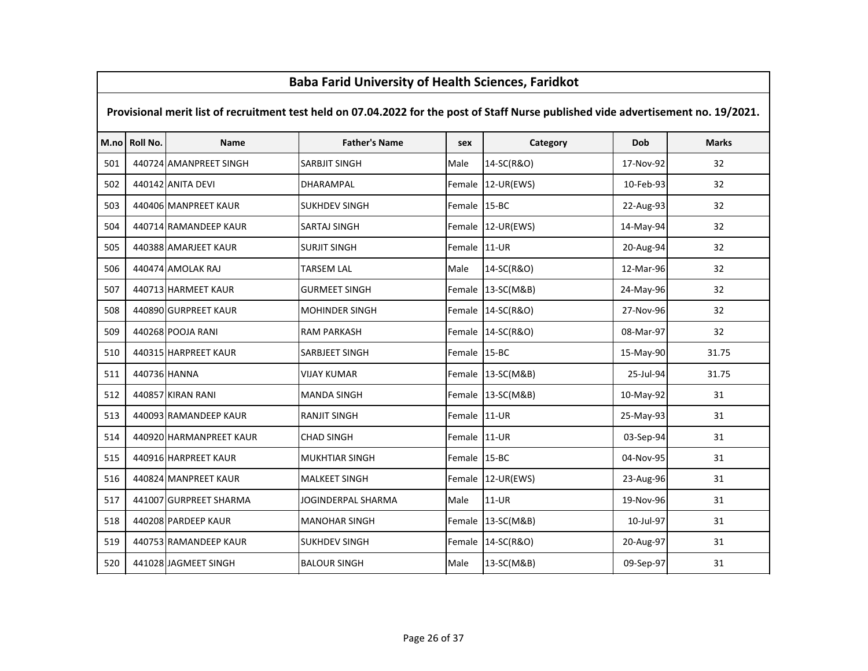# M.no Roll No. Name Father's Name sex Category Dob Marks Provisional merit list of recruitment test held on 07.04.2022 for the post of Staff Nurse published vide advertisement no. 19/2021.501 | 440724 AMANPREET SINGH | SARBJIT SINGH | Male | 14-SC(R&O) | 17-Nov-92 | 32 <sup>502</sup> <sup>440142</sup> ANITA DEVI DHARAMPAL Female 12-UR(EWS) 10-Feb-93 <sup>32</sup>503 | 440406 MANPREET KAUR | SUKHDEV SINGH | Female 15-BC | 22-Aug-93 | 32 <sup>504</sup> <sup>440714</sup> RAMANDEEP KAUR SARTAJ SINGH Female 12-UR(EWS) 14-May-94 <sup>32</sup><sup>505</sup> <sup>440388</sup> AMARJEET KAUR SURJIT SINGH Female 11-UR 20-Aug-94 <sup>32</sup><sup>506</sup> <sup>440474</sup> AMOLAK RAJ TARSEM LAL Male 14-SC(R&O) 12-Mar-96 <sup>32</sup><sup>507</sup> <sup>440713</sup> HARMEET KAUR GURMEET SINGH Female 13-SC(M&B) 24-May-96 <sup>32</sup><sup>508</sup> <sup>440890</sup> GURPREET KAUR MOHINDER SINGH Female 14-SC(R&O) 27-Nov-96 <sup>32</sup><sup>509</sup> <sup>440268</sup> POOJA RANI RAM PARKASH Female 14-SC(R&O) 08-Mar-97 <sup>32</sup><sup>510</sup> <sup>440315</sup> HARPREET KAUR SARBJEET SINGH Female 15-BC 15-May-90 31.75<sup>511</sup> <sup>440736</sup> HANNA VIJAY KUMAR Female 13-SC(M&B) 25-Jul-94 31.75<sup>512</sup> <sup>440857</sup> KIRAN RANI MANDA SINGH Female 13-SC(M&B) 10-May-92 <sup>31</sup>513 | 440093 RAMANDEEP KAUR | RANJIT SINGH | Female 11-UR | 25-May-93 | 31 514 | 440920 HARMANPREET KAUR | CHAD SINGH | CHAD SINGH | Female 11-UR | 03-Sep-94 | 31 <sup>515</sup> <sup>440916</sup> HARPREET KAUR MUKHTIAR SINGH Female 15-BC 04-Nov-95 <sup>31</sup>516 | 440824 MANPREET KAUR | MALKEET SINGH | Female 12-UR(EWS) | 23-Aug-96 | 31 517 | 441007 GURPREET SHARMA | JOGINDERPAL SHARMA | Male | 11-UR | 11 | 19-Nov-96 | 31 <sup>518</sup> <sup>440208</sup> PARDEEP KAUR MANOHAR SINGH Female 13-SC(M&B) 10-Jul-97 <sup>31</sup>519 | 440753 RAMANDEEP KAUR | SUKHDEV SINGH | Female 14-SC(R&O) | 20-Aug-97 | 31 <sup>520</sup> <sup>441028</sup> JAGMEET SINGH BALOUR SINGH Male 13-SC(M&B) 09-Sep-97 <sup>31</sup>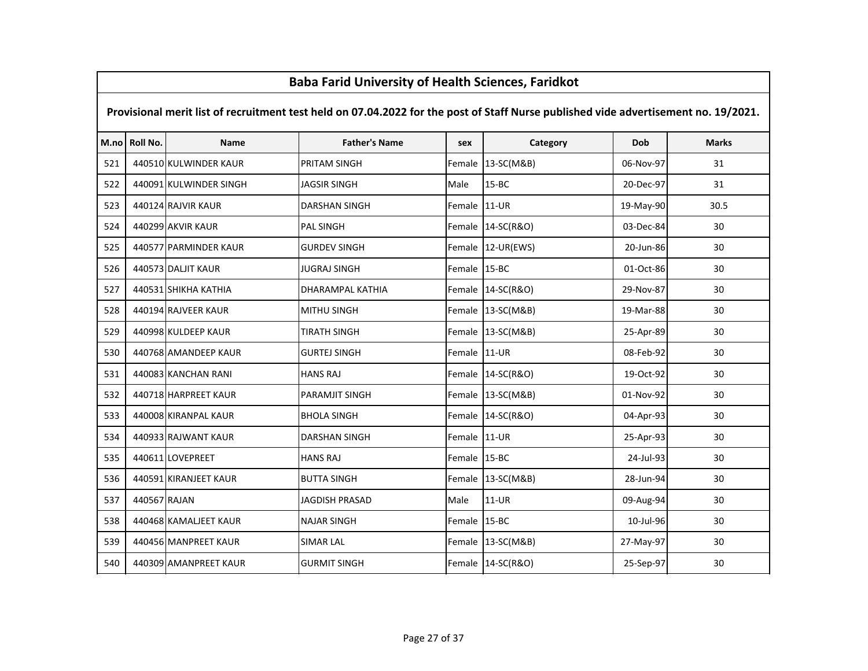### M.no Roll No. Name Father's Name sex Category Dob Marks Provisional merit list of recruitment test held on 07.04.2022 for the post of Staff Nurse published vide advertisement no. 19/2021.Baba Farid University of Health Sciences, Faridkot521 | 440510 KULWINDER KAUR | PRITAM SINGH | Female 13-SC(M&B) | 06-Nov-97 | 31 <sup>440091</sup> KULWINDER SINGH JAGSIR SINGH Male 15-BC 20-Dec-97 <sup>31</sup> <sup>440124</sup> RAJVIR KAUR DARSHAN SINGH Female 11-UR 19-May-90 30.5 <sup>440299</sup> AKVIR KAUR PAL SINGH Female 14-SC(R&O) 03-Dec-84 <sup>30</sup> <sup>440577</sup> PARMINDER KAUR GURDEV SINGH Female 12-UR(EWS) 20-Jun-86 <sup>30</sup> <sup>440573</sup> DALJIT KAUR JUGRAJ SINGH Female 15-BC 01-Oct-86 <sup>30</sup> <sup>440531</sup> SHIKHA KATHIA DHARAMPAL KATHIA Female 14-SC(R&O) 29-Nov-87 <sup>30</sup> <sup>440194</sup> RAJVEER KAUR MITHU SINGH Female 13-SC(M&B) 19-Mar-88 <sup>30</sup> <sup>440998</sup> KULDEEP KAUR TIRATH SINGH Female 13-SC(M&B) 25-Apr-89 <sup>30</sup> <sup>440768</sup> AMANDEEP KAUR GURTEJ SINGH Female 11-UR 08-Feb-92 <sup>30</sup> <sup>440083</sup> KANCHAN RANI HANS RAJ Female 14-SC(R&O) 19-Oct-92 <sup>30</sup>532 | 440718 HARPREET KAUR | PARAMJIT SINGH | Female 13-SC(M&B) | 01-Nov-92 | 30 <sup>440008</sup> KIRANPAL KAUR BHOLA SINGH Female 14-SC(R&O) 04-Apr-93 <sup>30</sup> <sup>440933</sup> RAJWANT KAUR DARSHAN SINGH Female 11-UR 25-Apr-93 <sup>30</sup> <sup>440611</sup> LOVEPREET HANS RAJ Female 15-BC 24-Jul-93 <sup>30</sup> <sup>440591</sup> KIRANJEET KAUR BUTTA SINGH Female 13-SC(M&B) 28-Jun-94 <sup>30</sup> <sup>440567</sup> RAJAN JAGDISH PRASAD Male 11-UR 09-Aug-94 <sup>30</sup> <sup>440468</sup> KAMALJEET KAUR NAJAR SINGH Female 15-BC 10-Jul-96 <sup>30</sup> <sup>440456</sup> MANPREET KAUR SIMAR LAL Female 13-SC(M&B) 27-May-97 <sup>30</sup>540 | 440309 | AMANPREET KAUR | GURMIT SINGH | Eemale | 14-SC(R&O) | 25-Sep-97 | 30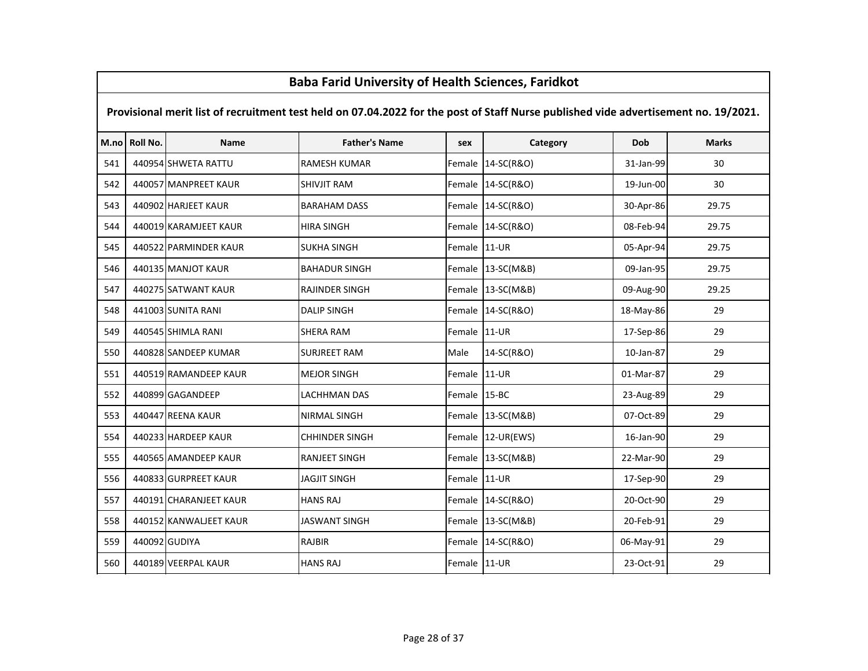### M.no Roll No. Name Father's Name sex Category Dob Marks Provisional merit list of recruitment test held on 07.04.2022 for the post of Staff Nurse published vide advertisement no. 19/2021.Baba Farid University of Health Sciences, Faridkot541 | 440954 SHWETA RATTU | RAMESH KUMAR | Female 14-SC(R&O) | 31-Jan-99 30 30 542 | 440057 MANPREET KAUR | SHIVJIT RAM | Female 14-SC(R&O) | 19-Jun-00 | 30 <sup>440902</sup> HARJEET KAUR BARAHAM DASS Female 14-SC(R&O) 30-Apr-86 29.75 <sup>440019</sup> KARAMJEET KAUR HIRA SINGH Female 14-SC(R&O) 08-Feb-94 29.75 <sup>440522</sup> PARMINDER KAUR SUKHA SINGH Female 11-UR 05-Apr-94 29.75 <sup>440135</sup> MANJOT KAUR BAHADUR SINGH Female 13-SC(M&B) 09-Jan-95 29.75 <sup>440275</sup> SATWANT KAUR RAJINDER SINGH Female 13-SC(M&B) 09-Aug-90 29.25 <sup>441003</sup> SUNITA RANI DALIP SINGH Female 14-SC(R&O) 18-May-86 <sup>29</sup> <sup>440545</sup> SHIMLA RANI SHERA RAM Female 11-UR 17-Sep-86 <sup>29</sup> <sup>440828</sup> SANDEEP KUMAR SURJREET RAM Male 14-SC(R&O) 10-Jan-87 <sup>29</sup> <sup>440519</sup> RAMANDEEP KAUR MEJOR SINGH Female 11-UR 01-Mar-87 <sup>29</sup> <sup>440899</sup> GAGANDEEP LACHHMAN DAS Female 15-BC 23-Aug-89 <sup>29</sup> <sup>440447</sup> REENA KAUR NIRMAL SINGH Female 13-SC(M&B) 07-Oct-89 <sup>29</sup>554 | 440233 | HARDEEP KAUR | CHHINDER SINGH | CHEINDER SINGH | Female 12-UR(EWS) | 16-Jan-90 | 29 <sup>440565</sup> AMANDEEP KAUR RANJEET SINGH Female 13-SC(M&B) 22-Mar-90 <sup>29</sup> <sup>440833</sup> GURPREET KAUR JAGJIT SINGH Female 11-UR 17-Sep-90 <sup>29</sup> <sup>440191</sup> CHARANJEET KAUR HANS RAJ Female 14-SC(R&O) 20-Oct-90 <sup>29</sup>558 | 440152 KANWALJEET KAUR | JASWANT SINGH | Female 13-SC(M&B) | 20-Feb-91 | 29 <sup>440092</sup> GUDIYA RAJBIR Female 14-SC(R&O) 06-May-91 <sup>29</sup><sup>440189</sup> VEERPAL KAUR HANS RAJ Female 11-UR 23-Oct-91 <sup>29</sup>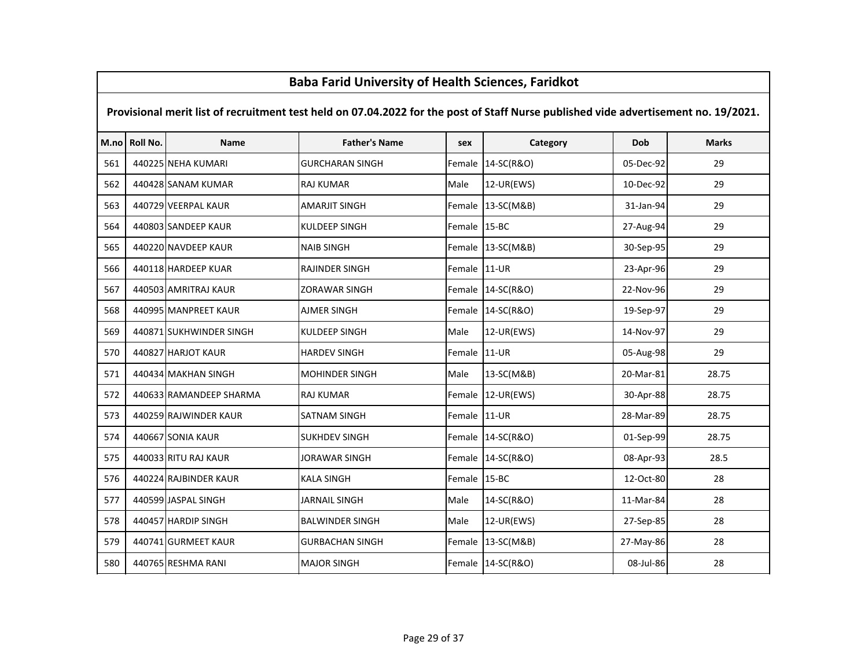# M.no Roll No. Name Father's Name sex Category Dob Marks Provisional merit list of recruitment test held on 07.04.2022 for the post of Staff Nurse published vide advertisement no. 19/2021. <sup>440225</sup> NEHA KUMARI GURCHARAN SINGH Female 14-SC(R&O) 05-Dec-92 <sup>29</sup> <sup>440428</sup> SANAM KUMAR RAJ KUMAR Male 12-UR(EWS) 10-Dec-92 <sup>29</sup> <sup>440729</sup> VEERPAL KAUR AMARJIT SINGH Female 13-SC(M&B) 31-Jan-94 <sup>29</sup> <sup>440803</sup> SANDEEP KAUR KULDEEP SINGH Female 15-BC 27-Aug-94 <sup>29</sup> <sup>440220</sup> NAVDEEP KAUR NAIB SINGH Female 13-SC(M&B) 30-Sep-95 <sup>29</sup> <sup>440118</sup> HARDEEP KUAR RAJINDER SINGH Female 11-UR 23-Apr-96 <sup>29</sup>567 | 440503 | AMRITRAJ KAUR | ZORAWAR SINGH | Eemale | 14-SC(R&O) | 22-Nov-96 | 29 <sup>440995</sup> MANPREET KAUR AJMER SINGH Female 14-SC(R&O) 19-Sep-97 <sup>29</sup>569 440871 SUKHWINDER SINGH KULDEEP SINGH Male 12-UR(EWS) 14-Nov-97 29 <sup>440827</sup> HARJOT KAUR HARDEV SINGH Female 11-UR 05-Aug-98 <sup>29</sup> <sup>440434</sup> MAKHAN SINGH MOHINDER SINGH Male 13-SC(M&B) 20-Mar-81 28.75 <sup>440633</sup> RAMANDEEP SHARMA RAJ KUMAR Female 12-UR(EWS) 30-Apr-88 28.75 <sup>440259</sup> RAJWINDER KAUR SATNAM SINGH Female 11-UR 28-Mar-89 28.75 <sup>440667</sup> SONIA KAUR SUKHDEV SINGH Female 14-SC(R&O) 01-Sep-99 28.75 <sup>440033</sup> RITU RAJ KAUR JORAWAR SINGH Female 14-SC(R&O) 08-Apr-93 28.5576 | 440224 RAJBINDER KAUR | KALA SINGH | KALA SINGH | Female 15-BC | 12-Oct-80 | 12-Oct-80 | 28 577 | 440599 JASPAL SINGH | JARNAIL SINGH | Male | 14-SC(R&O) | 11-Mar-84 | 28 <sup>440457</sup> HARDIP SINGH BALWINDER SINGH Male 12-UR(EWS) 27-Sep-85 <sup>28</sup>579 | 440741 GURMEET KAUR GURBACHAN SINGH Female 13-SC(M&B) 27-May-86 28 <sup>440765</sup> RESHMA RANI MAJOR SINGH Female 14-SC(R&O) 08-Jul-86 <sup>28</sup>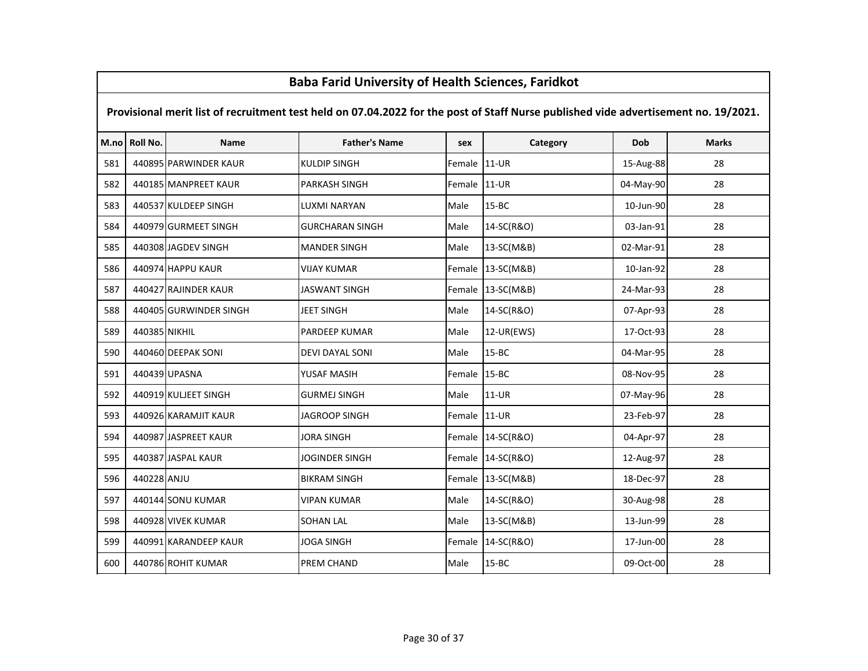|     | Dava Fariu Offiversity of Health Sciences, Fariunot                                                                                 |                        |                        |        |            |           |              |  |  |  |  |
|-----|-------------------------------------------------------------------------------------------------------------------------------------|------------------------|------------------------|--------|------------|-----------|--------------|--|--|--|--|
|     | Provisional merit list of recruitment test held on 07.04.2022 for the post of Staff Nurse published vide advertisement no. 19/2021. |                        |                        |        |            |           |              |  |  |  |  |
|     | M.no Roll No.                                                                                                                       | <b>Name</b>            | <b>Father's Name</b>   | sex    | Category   | Dob       | <b>Marks</b> |  |  |  |  |
| 581 |                                                                                                                                     | 440895 PARWINDER KAUR  | <b>KULDIP SINGH</b>    | Female | $11-UR$    | 15-Aug-88 | 28           |  |  |  |  |
| 582 |                                                                                                                                     | 440185 MANPREET KAUR   | <b>PARKASH SINGH</b>   | Female | $11-UR$    | 04-May-90 | 28           |  |  |  |  |
| 583 |                                                                                                                                     | 440537 KULDEEP SINGH   | LUXMI NARYAN           | Male   | $15 - BC$  | 10-Jun-90 | 28           |  |  |  |  |
| 584 |                                                                                                                                     | 440979 GURMEET SINGH   | <b>GURCHARAN SINGH</b> | Male   | 14-SC(R&O) | 03-Jan-91 | 28           |  |  |  |  |
| 585 |                                                                                                                                     | 440308 JAGDEV SINGH    | <b>MANDER SINGH</b>    | Male   | 13-SC(M&B) | 02-Mar-91 | 28           |  |  |  |  |
| 586 |                                                                                                                                     | 440974 HAPPU KAUR      | <b>VIJAY KUMAR</b>     | Female | 13-SC(M&B) | 10-Jan-92 | 28           |  |  |  |  |
| 587 |                                                                                                                                     | 440427 RAJINDER KAUR   | <b>JASWANT SINGH</b>   | Female | 13-SC(M&B) | 24-Mar-93 | 28           |  |  |  |  |
| 588 |                                                                                                                                     | 440405 GURWINDER SINGH | <b>JEET SINGH</b>      | Male   | 14-SC(R&O) | 07-Apr-93 | 28           |  |  |  |  |
| 589 | 440385 NIKHIL                                                                                                                       |                        | <b>PARDEEP KUMAR</b>   | Male   | 12-UR(EWS) | 17-Oct-93 | 28           |  |  |  |  |
| 590 |                                                                                                                                     | 440460 DEEPAK SONI     | <b>DEVI DAYAL SONI</b> | Male   | $15 - BC$  | 04-Mar-95 | 28           |  |  |  |  |
| 591 |                                                                                                                                     | 440439 UPASNA          | YUSAF MASIH            | Female | $15 - BC$  | 08-Nov-95 | 28           |  |  |  |  |
| 592 |                                                                                                                                     | 440919 KULJEET SINGH   | <b>GURMEJ SINGH</b>    | Male   | $11-UR$    | 07-May-96 | 28           |  |  |  |  |
| 593 |                                                                                                                                     | 440926 KARAMJIT KAUR   | JAGROOP SINGH          | Female | $11-UR$    | 23-Feb-97 | 28           |  |  |  |  |
| 594 |                                                                                                                                     | 440987 JASPREET KAUR   | <b>JORA SINGH</b>      | Female | 14-SC(R&O) | 04-Apr-97 | 28           |  |  |  |  |
| 595 |                                                                                                                                     | 440387 JASPAL KAUR     | JOGINDER SINGH         | Female | 14-SC(R&O) | 12-Aug-97 | 28           |  |  |  |  |
| 596 | 440228 ANJU                                                                                                                         |                        | <b>BIKRAM SINGH</b>    | Female | 13-SC(M&B) | 18-Dec-97 | 28           |  |  |  |  |
| 597 |                                                                                                                                     | 440144 SONU KUMAR      | <b>VIPAN KUMAR</b>     | Male   | 14-SC(R&O) | 30-Aug-98 | 28           |  |  |  |  |
| 598 |                                                                                                                                     | 440928 VIVEK KUMAR     | <b>SOHAN LAL</b>       | Male   | 13-SC(M&B) | 13-Jun-99 | 28           |  |  |  |  |
| 599 |                                                                                                                                     | 440991 KARANDEEP KAUR  | <b>JOGA SINGH</b>      | Female | 14-SC(R&O) | 17-Jun-00 | 28           |  |  |  |  |
| 600 |                                                                                                                                     | 440786 ROHIT KUMAR     | PREM CHAND             | Male   | $15 - BC$  | 09-Oct-00 | 28           |  |  |  |  |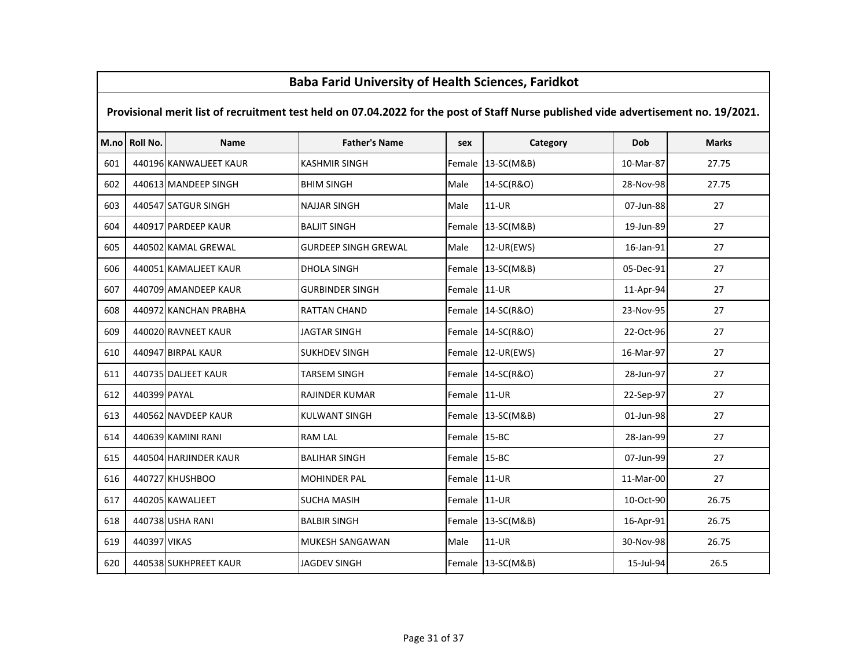# M.no Roll No. Name Father's Name sex Category Dob Marks Provisional merit list of recruitment test held on 07.04.2022 for the post of Staff Nurse published vide advertisement no. 19/2021. <sup>440196</sup> KANWALJEET KAUR KASHMIR SINGH Female 13-SC(M&B) 10-Mar-87 27.75 <sup>440613</sup> MANDEEP SINGH BHIM SINGH Male 14-SC(R&O) 28-Nov-98 27.75 <sup>440547</sup> SATGUR SINGH NAJJAR SINGH Male 11-UR 07-Jun-88 <sup>27</sup>604 | 440917 PARDEEP KAUR | BALJIT SINGH | REMALIE | 13-SC(M&B) | 19-Jun-89 | 19-Jun-89 | 27 <sup>440502</sup> KAMAL GREWAL GURDEEP SINGH GREWAL Male 12-UR(EWS) 16-Jan-91 <sup>27</sup> <sup>440051</sup> KAMALJEET KAUR DHOLA SINGH Female 13-SC(M&B) 05-Dec-91 <sup>27</sup>607 | 440709 AMANDEEP KAUR | GURBINDER SINGH | Female 11-UR | 11-Apr-94 | 11-Apr-94 | 27 <sup>440972</sup> KANCHAN PRABHA RATTAN CHAND Female 14-SC(R&O) 23-Nov-95 <sup>27</sup> <sup>440020</sup> RAVNEET KAUR JAGTAR SINGH Female 14-SC(R&O) 22-Oct-96 <sup>27</sup> <sup>440947</sup> BIRPAL KAUR SUKHDEV SINGH Female 12-UR(EWS) 16-Mar-97 <sup>27</sup> <sup>440735</sup> DALJEET KAUR TARSEM SINGH Female 14-SC(R&O) 28-Jun-97 <sup>27</sup> <sup>440399</sup> PAYAL RAJINDER KUMAR Female 11-UR 22-Sep-97 <sup>27</sup> <sup>440562</sup> NAVDEEP KAUR KULWANT SINGH Female 13-SC(M&B) 01-Jun-98 <sup>27</sup> <sup>440639</sup> KAMINI RANI RAM LAL Female 15-BC 28-Jan-99 <sup>27</sup> <sup>440504</sup> HARJINDER KAUR BALIHAR SINGH Female 15-BC 07-Jun-99 <sup>27</sup> <sup>440727</sup> KHUSHBOO MOHINDER PAL Female 11-UR 11-Mar-00 <sup>27</sup> <sup>440205</sup> KAWALJEET SUCHA MASIH Female 11-UR 10-Oct-90 26.75 <sup>440738</sup> USHA RANI BALBIR SINGH Female 13-SC(M&B) 16-Apr-91 26.75 <sup>440397</sup> VIKAS MUKESH SANGAWAN Male 11-UR 30-Nov-98 26.75<sup>440538</sup> SUKHPREET KAUR JAGDEV SINGH Female 13-SC(M&B) 15-Jul-94 26.5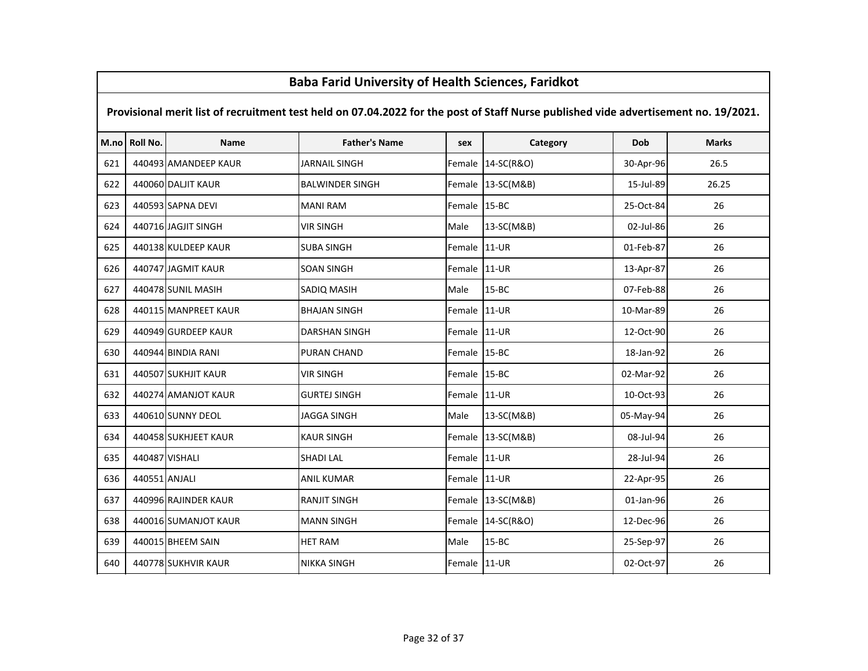|     | <u>Baba Fariu Olliversity of Health Sciences, Fariukot</u>                                                                          |                      |                        |              |                   |           |              |  |  |  |  |
|-----|-------------------------------------------------------------------------------------------------------------------------------------|----------------------|------------------------|--------------|-------------------|-----------|--------------|--|--|--|--|
|     | Provisional merit list of recruitment test held on 07.04.2022 for the post of Staff Nurse published vide advertisement no. 19/2021. |                      |                        |              |                   |           |              |  |  |  |  |
|     | M.no Roll No.                                                                                                                       | <b>Name</b>          | <b>Father's Name</b>   | sex          | Category          | Dob       | <b>Marks</b> |  |  |  |  |
| 621 |                                                                                                                                     | 440493 AMANDEEP KAUR | <b>JARNAIL SINGH</b>   | Female       | 14-SC(R&O)        | 30-Apr-96 | 26.5         |  |  |  |  |
| 622 |                                                                                                                                     | 440060 DALJIT KAUR   | <b>BALWINDER SINGH</b> |              | Female 13-SC(M&B) | 15-Jul-89 | 26.25        |  |  |  |  |
| 623 |                                                                                                                                     | 440593 SAPNA DEVI    | <b>MANI RAM</b>        | Female 15-BC |                   | 25-Oct-84 | 26           |  |  |  |  |
| 624 |                                                                                                                                     | 440716 JAGJIT SINGH  | <b>VIR SINGH</b>       | Male         | 13-SC(M&B)        | 02-Jul-86 | 26           |  |  |  |  |
| 625 |                                                                                                                                     | 440138 KULDEEP KAUR  | <b>SUBA SINGH</b>      | Female       | 11-UR             | 01-Feb-87 | 26           |  |  |  |  |
| 626 |                                                                                                                                     | 440747 JAGMIT KAUR   | SOAN SINGH             | Female 11-UR |                   | 13-Apr-87 | 26           |  |  |  |  |
| 627 |                                                                                                                                     | 440478 SUNIL MASIH   | SADIQ MASIH            | Male         | $15 - BC$         | 07-Feb-88 | 26           |  |  |  |  |
| 628 |                                                                                                                                     | 440115 MANPREET KAUR | <b>BHAJAN SINGH</b>    | Female       | 11-UR             | 10-Mar-89 | 26           |  |  |  |  |
| 629 |                                                                                                                                     | 440949 GURDEEP KAUR  | <b>DARSHAN SINGH</b>   | Female       | $11-UR$           | 12-Oct-90 | 26           |  |  |  |  |
| 630 |                                                                                                                                     | 440944 BINDIA RANI   | <b>PURAN CHAND</b>     | Female 15-BC |                   | 18-Jan-92 | 26           |  |  |  |  |
| 631 |                                                                                                                                     | 440507 SUKHJIT KAUR  | <b>VIR SINGH</b>       | Female 15-BC |                   | 02-Mar-92 | 26           |  |  |  |  |
| 632 |                                                                                                                                     | 440274 AMANJOT KAUR  | <b>GURTEJ SINGH</b>    | Female 11-UR |                   | 10-Oct-93 | 26           |  |  |  |  |
| 633 |                                                                                                                                     | 440610 SUNNY DEOL    | <b>JAGGA SINGH</b>     | Male         | 13-SC(M&B)        | 05-May-94 | 26           |  |  |  |  |
| 634 |                                                                                                                                     | 440458 SUKHJEET KAUR | <b>KAUR SINGH</b>      | Female       | 13-SC(M&B)        | 08-Jul-94 | 26           |  |  |  |  |
| 635 |                                                                                                                                     | 440487 VISHALI       | <b>SHADI LAL</b>       | Female       | 11-UR             | 28-Jul-94 | 26           |  |  |  |  |
| 636 | 440551 ANJALI                                                                                                                       |                      | <b>ANIL KUMAR</b>      | Female 11-UR |                   | 22-Apr-95 | 26           |  |  |  |  |
| 637 |                                                                                                                                     | 440996 RAJINDER KAUR | <b>RANJIT SINGH</b>    |              | Female 13-SC(M&B) | 01-Jan-96 | 26           |  |  |  |  |
| 638 |                                                                                                                                     | 440016 SUMANJOT KAUR | <b>MANN SINGH</b>      |              | Female 14-SC(R&O) | 12-Dec-96 | 26           |  |  |  |  |
| 639 |                                                                                                                                     | 440015 BHEEM SAIN    | <b>HET RAM</b>         | Male         | $15 - BC$         | 25-Sep-97 | 26           |  |  |  |  |
| 640 |                                                                                                                                     | 440778 SUKHVIR KAUR  | <b>NIKKA SINGH</b>     | Female 11-UR |                   | 02-Oct-97 | 26           |  |  |  |  |

 $\mathsf{r}$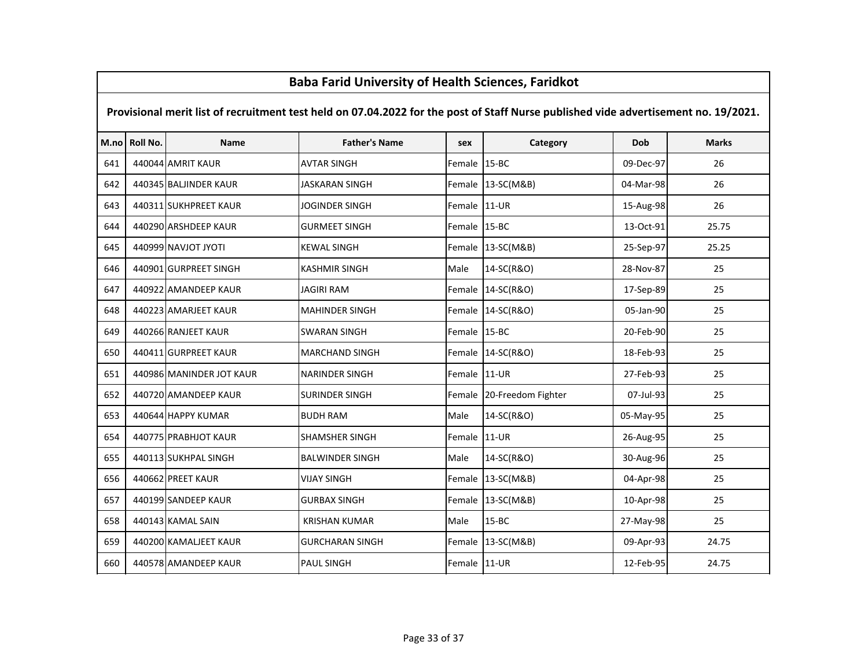# M.no Roll No. Name Father's Name sex Category Dob Marks Provisional merit list of recruitment test held on 07.04.2022 for the post of Staff Nurse published vide advertisement no. 19/2021.<sup>641</sup> <sup>440044</sup> AMRIT KAUR AVTAR SINGH Female 15-BC 09-Dec-97 <sup>26</sup>642 | 440345 BALJINDER KAUR | JASKARAN SINGH | Female 13-SC(M&B) | 04-Mar-98 | 04-Mar-98 26 643 | 440311 SUKHPREET KAUR | JOGINDER SINGH | Female 11-UR | 15-Aug-98 | 15-Aug-98 | 26 <sup>644</sup> <sup>440290</sup> ARSHDEEP KAUR GURMEET SINGH Female 15-BC 13-Oct-91 25.75<sup>645</sup> <sup>440999</sup> NAVJOT JYOTI KEWAL SINGH Female 13-SC(M&B) 25-Sep-97 25.25<sup>646</sup> <sup>440901</sup> GURPREET SINGH KASHMIR SINGH Male 14-SC(R&O) 28-Nov-87 <sup>25</sup><sup>647</sup> <sup>440922</sup> AMANDEEP KAUR JAGIRI RAM Female 14-SC(R&O) 17-Sep-89 <sup>25</sup><sup>648</sup> <sup>440223</sup> AMARJEET KAUR MAHINDER SINGH Female 14-SC(R&O) 05-Jan-90 <sup>25</sup><sup>649</sup> <sup>440266</sup> RANJEET KAUR SWARAN SINGH Female 15-BC 20-Feb-90 <sup>25</sup><sup>650</sup> <sup>440411</sup> GURPREET KAUR MARCHAND SINGH Female 14-SC(R&O) 18-Feb-93 <sup>25</sup>651 | 440986 MANINDER JOT KAUR | NARINDER SINGH | Pemale 11-UR | 27-Feb-93 | 25 652 | 440720 AMANDEEP KAUR | SURINDER SINGH | Female 20-Freedom Fighter | 07-Jul-93 | 25 <sup>653</sup> <sup>440644</sup> HAPPY KUMAR BUDH RAM Male 14-SC(R&O) 05-May-95 <sup>25</sup>654 | 440775 PRABHJOT KAUR | SHAMSHER SINGH | SHAMSHER SINGH | 21-UR | 26-Aug-95 | 25 <sup>655</sup> <sup>440113</sup> SUKHPAL SINGH BALWINDER SINGH Male 14-SC(R&O) 30-Aug-96 <sup>25</sup><sup>656</sup> <sup>440662</sup> PREET KAUR VIJAY SINGH Female 13-SC(M&B) 04-Apr-98 <sup>25</sup>657 | 440199 SANDEEP KAUR | GURBAX SINGH | Female 13-SC(M&B) | 10-Apr-98 | 25 <sup>658</sup> <sup>440143</sup> KAMAL SAIN KRISHAN KUMAR Male 15-BC 27-May-98 <sup>25</sup><sup>659</sup> <sup>440200</sup> KAMALJEET KAUR GURCHARAN SINGH Female 13-SC(M&B) 09-Apr-93 24.75<sup>660</sup> <sup>440578</sup> AMANDEEP KAUR PAUL SINGH Female 11-UR 12-Feb-95 24.75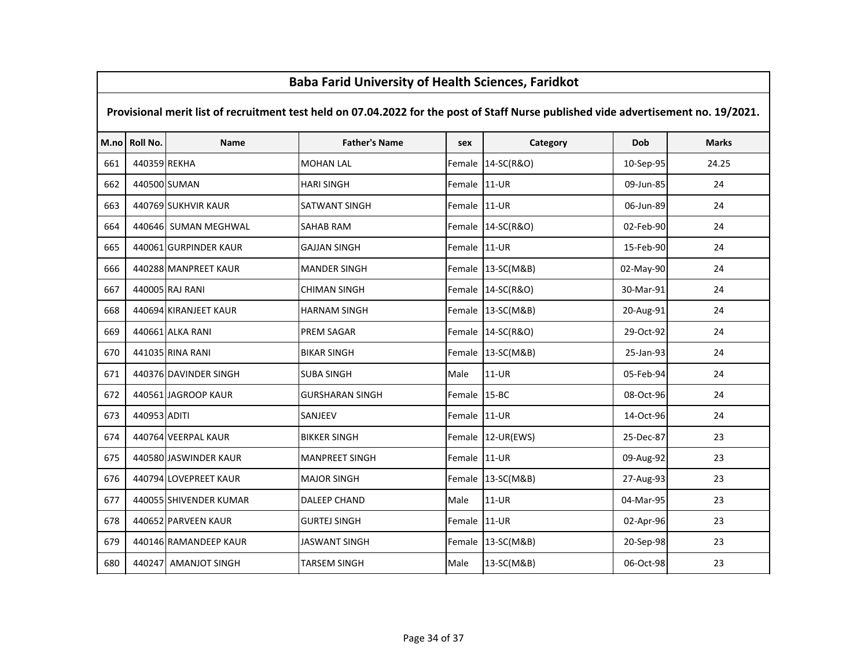|     | Dava Fariu Offiversity Of Health Sciences, Fariunot                                                                                 |                        |                        |              |                   |           |              |  |  |  |  |
|-----|-------------------------------------------------------------------------------------------------------------------------------------|------------------------|------------------------|--------------|-------------------|-----------|--------------|--|--|--|--|
|     | Provisional merit list of recruitment test held on 07.04.2022 for the post of Staff Nurse published vide advertisement no. 19/2021. |                        |                        |              |                   |           |              |  |  |  |  |
|     | M.no Roll No.                                                                                                                       | <b>Name</b>            | <b>Father's Name</b>   | sex          | Category          | Dob       | <b>Marks</b> |  |  |  |  |
| 661 | 440359 REKHA                                                                                                                        |                        | <b>MOHAN LAL</b>       | Female       | 14-SC(R&O)        | 10-Sep-95 | 24.25        |  |  |  |  |
| 662 | 440500 SUMAN                                                                                                                        |                        | <b>HARI SINGH</b>      | Female       | $11-UR$           | 09-Jun-85 | 24           |  |  |  |  |
| 663 |                                                                                                                                     | 440769 SUKHVIR KAUR    | <b>SATWANT SINGH</b>   | Female 11-UR |                   | 06-Jun-89 | 24           |  |  |  |  |
| 664 |                                                                                                                                     | 440646 SUMAN MEGHWAL   | <b>SAHAB RAM</b>       |              | Female 14-SC(R&O) | 02-Feb-90 | 24           |  |  |  |  |
| 665 |                                                                                                                                     | 440061 GURPINDER KAUR  | <b>GAJJAN SINGH</b>    | Female 11-UR |                   | 15-Feb-90 | 24           |  |  |  |  |
| 666 |                                                                                                                                     | 440288 MANPREET KAUR   | <b>MANDER SINGH</b>    |              | Female 13-SC(M&B) | 02-May-90 | 24           |  |  |  |  |
| 667 |                                                                                                                                     | 440005 RAJ RANI        | <b>CHIMAN SINGH</b>    | Female       | 14-SC(R&O)        | 30-Mar-91 | 24           |  |  |  |  |
| 668 |                                                                                                                                     | 440694 KIRANJEET KAUR  | <b>HARNAM SINGH</b>    | Female       | 13-SC(M&B)        | 20-Aug-91 | 24           |  |  |  |  |
| 669 |                                                                                                                                     | 440661 ALKA RANI       | <b>PREM SAGAR</b>      | Female       | 14-SC(R&O)        | 29-Oct-92 | 24           |  |  |  |  |
| 670 |                                                                                                                                     | 441035 RINA RANI       | <b>BIKAR SINGH</b>     | Female       | 13-SC(M&B)        | 25-Jan-93 | 24           |  |  |  |  |
| 671 |                                                                                                                                     | 440376 DAVINDER SINGH  | <b>SUBA SINGH</b>      | Male         | 11-UR             | 05-Feb-94 | 24           |  |  |  |  |
| 672 |                                                                                                                                     | 440561 JAGROOP KAUR    | <b>GURSHARAN SINGH</b> | Female       | $15 - BC$         | 08-Oct-96 | 24           |  |  |  |  |
| 673 | 440953 ADITI                                                                                                                        |                        | SANJEEV                | Female       | 11-UR             | 14-Oct-96 | 24           |  |  |  |  |
| 674 |                                                                                                                                     | 440764 VEERPAL KAUR    | <b>BIKKER SINGH</b>    | Female       | $12$ -UR(EWS)     | 25-Dec-87 | 23           |  |  |  |  |
| 675 |                                                                                                                                     | 440580 JASWINDER KAUR  | <b>MANPREET SINGH</b>  | Female       | $11-UR$           | 09-Aug-92 | 23           |  |  |  |  |
| 676 |                                                                                                                                     | 440794 LOVEPREET KAUR  | <b>MAJOR SINGH</b>     | Female       | 13-SC(M&B)        | 27-Aug-93 | 23           |  |  |  |  |
| 677 |                                                                                                                                     | 440055 SHIVENDER KUMAR | <b>DALEEP CHAND</b>    | Male         | $11-UR$           | 04-Mar-95 | 23           |  |  |  |  |
| 678 |                                                                                                                                     | 440652 PARVEEN KAUR    | <b>GURTEJ SINGH</b>    | Female       | 11-UR             | 02-Apr-96 | 23           |  |  |  |  |
| 679 |                                                                                                                                     | 440146 RAMANDEEP KAUR  | <b>JASWANT SINGH</b>   |              | Female 13-SC(M&B) | 20-Sep-98 | 23           |  |  |  |  |
| 680 |                                                                                                                                     | 440247 AMANJOT SINGH   | TARSEM SINGH           | Male         | 13-SC(M&B)        | 06-Oct-98 | 23           |  |  |  |  |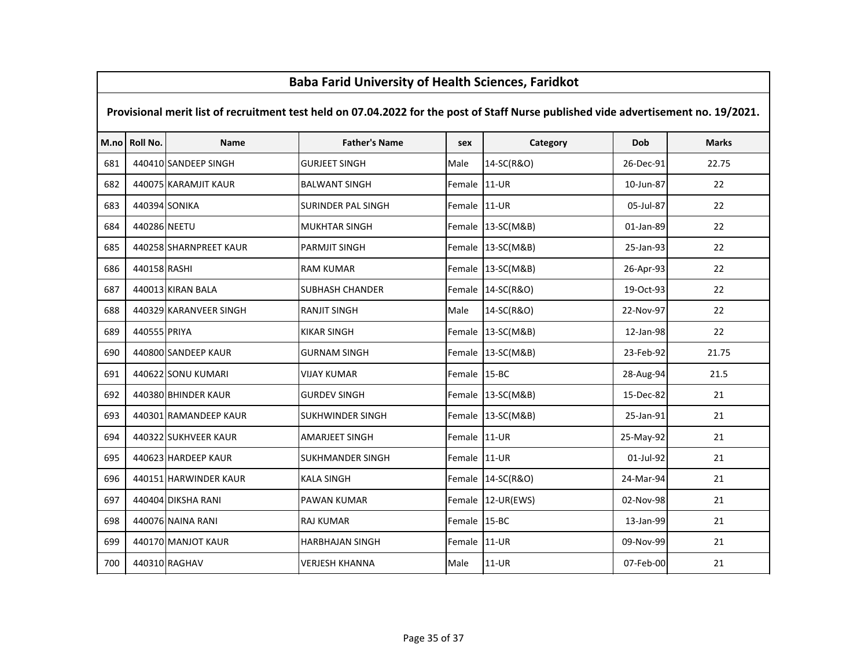# M.no Roll No. Name Father's Name sex Category Dob Marks Provisional merit list of recruitment test held on 07.04.2022 for the post of Staff Nurse published vide advertisement no. 19/2021. <sup>440410</sup> SANDEEP SINGH GURJEET SINGH Male 14-SC(R&O) 26-Dec-91 22.75 <sup>440075</sup> KARAMJIT KAUR BALWANT SINGH Female 11-UR 10-Jun-87 <sup>22</sup> <sup>440394</sup> SONIKA SURINDER PAL SINGH Female 11-UR 05-Jul-87 <sup>22</sup> <sup>440286</sup> NEETU MUKHTAR SINGH Female 13-SC(M&B) 01-Jan-89 <sup>22</sup> <sup>440258</sup> SHARNPREET KAUR PARMJIT SINGH Female 13-SC(M&B) 25-Jan-93 <sup>22</sup> <sup>440158</sup> RASHI RAM KUMAR Female 13-SC(M&B) 26-Apr-93 <sup>22</sup> <sup>440013</sup> KIRAN BALA SUBHASH CHANDER Female 14-SC(R&O) 19-Oct-93 <sup>22</sup> <sup>440329</sup> KARANVEER SINGH RANJIT SINGH Male 14-SC(R&O) 22-Nov-97 <sup>22</sup> <sup>440555</sup> PRIYA KIKAR SINGH Female 13-SC(M&B) 12-Jan-98 <sup>22</sup> <sup>440800</sup> SANDEEP KAUR GURNAM SINGH Female 13-SC(M&B) 23-Feb-92 21.75 <sup>440622</sup> SONU KUMARI VIJAY KUMAR Female 15-BC 28-Aug-94 21.5692 | 440380 BHINDER KAUR | GURDEV SINGH | Female 13-SC(M&B) | 15-Dec-82 | 21 693 | 440301 RAMANDEEP KAUR SUKHWINDER SINGH Female 13-SC(M&B) | 25-Jan-91 21 <sup>440322</sup> SUKHVEER KAUR AMARJEET SINGH Female 11-UR 25-May-92 <sup>21</sup> <sup>440623</sup> HARDEEP KAUR SUKHMANDER SINGH Female 11-UR 01-Jul-92 <sup>21</sup> <sup>440151</sup> HARWINDER KAUR KALA SINGH Female 14-SC(R&O) 24-Mar-94 <sup>21</sup> <sup>440404</sup> DIKSHA RANI PAWAN KUMAR Female 12-UR(EWS) 02-Nov-98 <sup>21</sup> <sup>440076</sup> NAINA RANI RAJ KUMAR Female 15-BC 13-Jan-99 <sup>21</sup>699 | 440170 MANJOT KAUR | HARBHAJAN SINGH | Female 11-UR | 09-Nov-99 21 <sup>440310</sup> RAGHAV VERJESH KHANNA Male 11-UR 07-Feb-00 <sup>21</sup>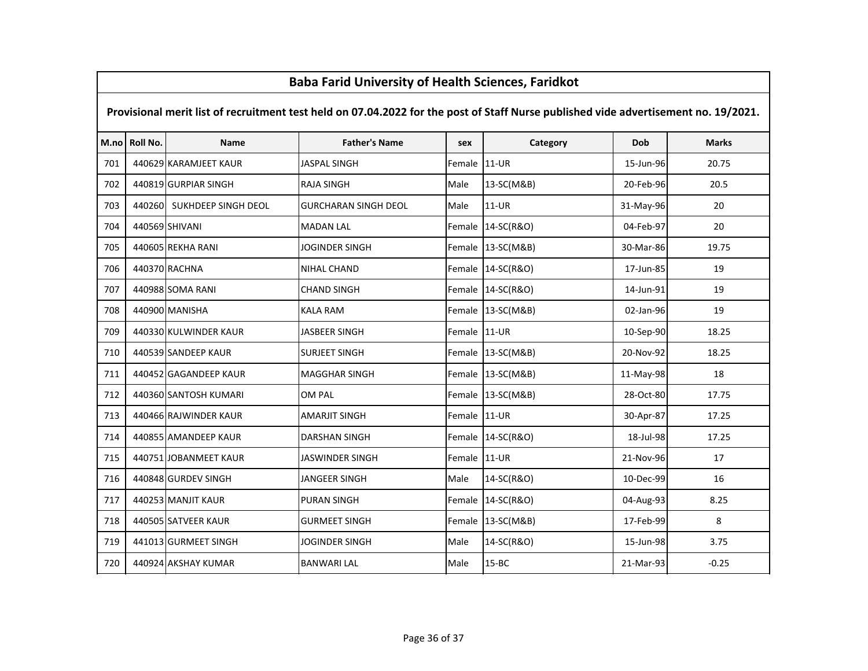# M.no Roll No. Name Father's Name sex Category Dob Marks Provisional merit list of recruitment test held on 07.04.2022 for the post of Staff Nurse published vide advertisement no. 19/2021. <sup>440629</sup> KARAMJEET KAUR JASPAL SINGH Female 11-UR 15-Jun-96 20.75 <sup>440819</sup> GURPIAR SINGH RAJA SINGH Male 13-SC(M&B) 20-Feb-96 20.5 <sup>440260</sup> SUKHDEEP SINGH DEOL GURCHARAN SINGH DEOL Male 11-UR 31-May-96 <sup>20</sup> <sup>440569</sup> SHIVANI MADAN LAL Female 14-SC(R&O) 04-Feb-97 <sup>20</sup> <sup>440605</sup> REKHA RANI JOGINDER SINGH Female 13-SC(M&B) 30-Mar-86 19.75 <sup>440370</sup> RACHNA NIHAL CHAND Female 14-SC(R&O) 17-Jun-85 <sup>19</sup> <sup>440988</sup> SOMA RANI CHAND SINGH Female 14-SC(R&O) 14-Jun-91 <sup>19</sup> <sup>440900</sup> MANISHA KALA RAM Female 13-SC(M&B) 02-Jan-96 <sup>19</sup>709 | 440330 KULWINDER KAUR | JASBEER SINGH | Female | 11-UR | 10-Sep-90 | 18.25 <sup>440539</sup> SANDEEP KAUR SURJEET SINGH Female 13-SC(M&B) 20-Nov-92 18.25711 | 440452 GAGANDEEP KAUR | MAGGHAR SINGH | Female 13-SC(M&B) | 13-May-98 | 11-May-98 18 <sup>440360</sup> SANTOSH KUMARI OM PAL Female 13-SC(M&B) 28-Oct-80 17.75 <sup>440466</sup> RAJWINDER KAUR AMARJIT SINGH Female 11-UR 30-Apr-87 17.25714 | 440855 AMANDEEP KAUR | DARSHAN SINGH | Female | 14-SC(R&O) | 18-Jul-98 | 17.25 715 | 440751 JOBANMEET KAUR | JASWINDER SINGH | Female 11-UR | 21-Nov-96 | 21-Nov-96 | 21- <sup>440848</sup> GURDEV SINGH JANGEER SINGH Male 14-SC(R&O) 10-Dec-99 <sup>16</sup> <sup>440253</sup> MANJIT KAUR PURAN SINGH Female 14-SC(R&O) 04-Aug-93 8.25 <sup>440505</sup> SATVEER KAUR GURMEET SINGH Female 13-SC(M&B) 17-Feb-99 <sup>8</sup>719 441013 GURMEET SINGH JOGINDER SINGH Male 14-SC(R&O) 15-Jun-98 3.75 <sup>440924</sup> AKSHAY KUMAR BANWARI LAL Male 15-BC 21-Mar-93 -0.25